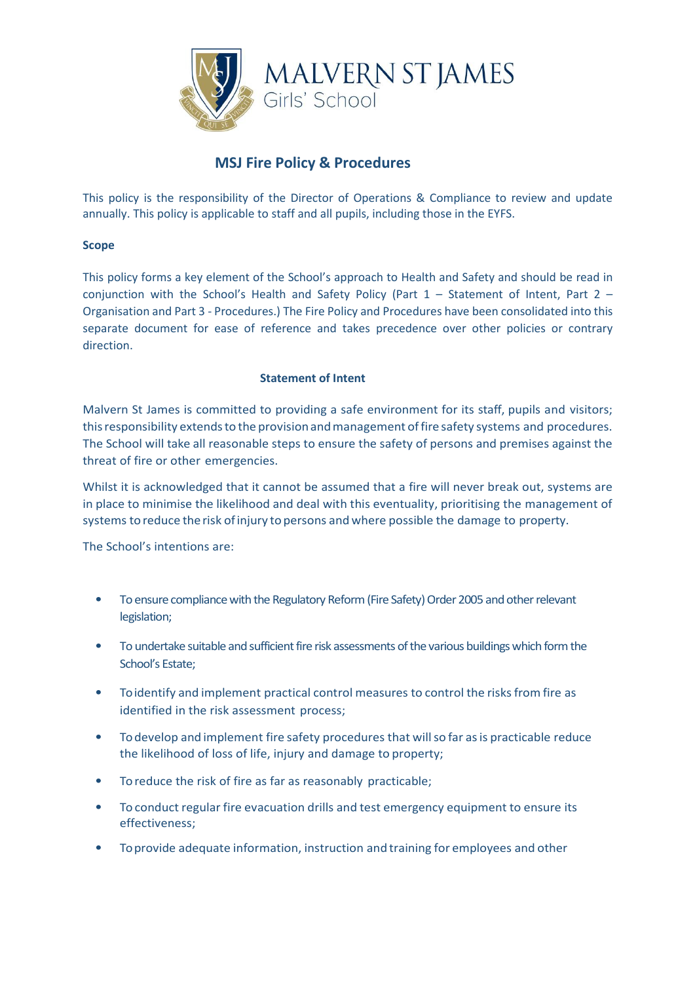

# **MSJ Fire Policy & Procedures**

This policy is the responsibility of the Director of Operations & Compliance to review and update annually. This policy is applicable to staff and all pupils, including those in the EYFS.

# **Scope**

This policy forms a key element of the School's approach to Health and Safety and should be read in conjunction with the School's Health and Safety Policy (Part  $1$  – Statement of Intent, Part  $2$  – Organisation and Part 3 - Procedures.) The Fire Policy and Procedures have been consolidated into this separate document for ease of reference and takes precedence over other policies or contrary direction.

# **Statement of Intent**

Malvern St James is committed to providing a safe environment for its staff, pupils and visitors; this responsibility extends to the provision and management of fire safety systems and procedures. The School will take all reasonable steps to ensure the safety of persons and premises against the threat of fire or other emergencies.

Whilst it is acknowledged that it cannot be assumed that a fire will never break out, systems are in place to minimise the likelihood and deal with this eventuality, prioritising the management of systems toreduce the risk ofinjury to persons andwhere possible the damage to property.

The School's intentions are:

- To ensure compliance with the Regulatory Reform (Fire Safety) Order 2005 and other relevant legislation;
- To undertake suitable and sufficient fire risk assessments of the various buildings which form the School's Estate;
- Toidentify and implement practical control measures to control the risksfrom fire as identified in the risk assessment process;
- Todevelop and implement fire safety procedures that willso far asis practicable reduce the likelihood of loss of life, injury and damage to property;
- To reduce the risk of fire as far as reasonably practicable;
- To conduct regular fire evacuation drills and test emergency equipment to ensure its effectiveness;
- Toprovide adequate information, instruction and training for employees and other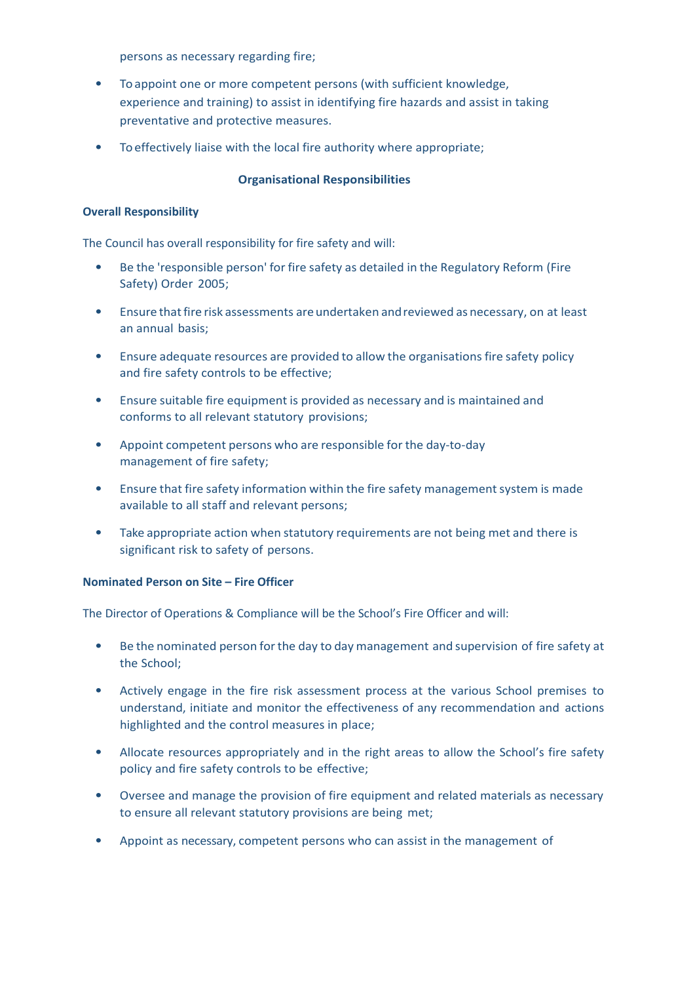persons as necessary regarding fire;

- To appoint one or more competent persons (with sufficient knowledge, experience and training) to assist in identifying fire hazards and assist in taking preventative and protective measures.
- To effectively liaise with the local fire authority where appropriate;

## **Organisational Responsibilities**

### **Overall Responsibility**

The Council has overall responsibility for fire safety and will:

- Be the 'responsible person' for fire safety as detailed in the Regulatory Reform (Fire Safety) Order 2005;
- Ensure thatfire risk assessments areundertaken andreviewed as necessary, on at least an annual basis;
- Ensure adequate resources are provided to allow the organisationsfire safety policy and fire safety controls to be effective;
- Ensure suitable fire equipment is provided as necessary and is maintained and conforms to all relevant statutory provisions;
- Appoint competent persons who are responsible for the day-to-day management of fire safety;
- Ensure that fire safety information within the fire safety management system is made available to all staff and relevant persons;
- Take appropriate action when statutory requirements are not being met and there is significant risk to safety of persons.

### **Nominated Person on Site – Fire Officer**

The Director of Operations & Compliance will be the School's Fire Officer and will:

- Be the nominated person forthe day to day management and supervision of fire safety at the School;
- Actively engage in the fire risk assessment process at the various School premises to understand, initiate and monitor the effectiveness of any recommendation and actions highlighted and the control measures in place;
- Allocate resources appropriately and in the right areas to allow the School's fire safety policy and fire safety controls to be effective;
- Oversee and manage the provision of fire equipment and related materials as necessary to ensure all relevant statutory provisions are being met;
- Appoint as necessary, competent persons who can assist in the management of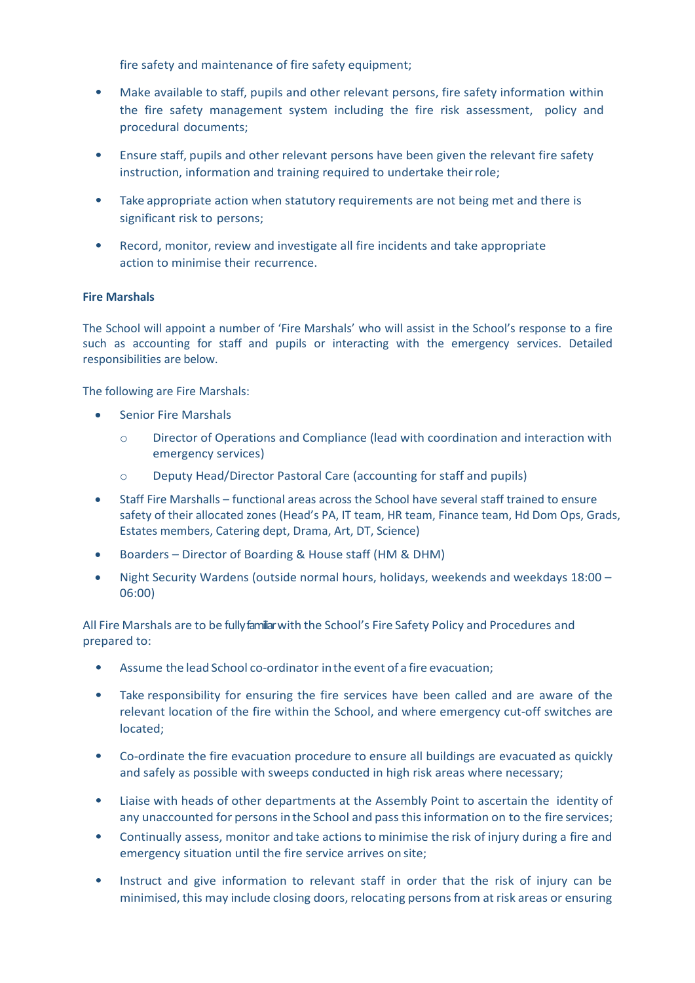fire safety and maintenance of fire safety equipment;

- Make available to staff, pupils and other relevant persons, fire safety information within the fire safety management system including the fire risk assessment, policy and procedural documents;
- Ensure staff, pupils and other relevant persons have been given the relevant fire safety instruction, information and training required to undertake theirrole;
- Take appropriate action when statutory requirements are not being met and there is significant risk to persons;
- Record, monitor, review and investigate all fire incidents and take appropriate action to minimise their recurrence.

### **Fire Marshals**

The School will appoint a number of 'Fire Marshals' who will assist in the School's response to a fire such as accounting for staff and pupils or interacting with the emergency services. Detailed responsibilities are below.

The following are Fire Marshals:

- Senior Fire Marshals
	- o Director of Operations and Compliance (lead with coordination and interaction with emergency services)
	- o Deputy Head/Director Pastoral Care (accounting for staff and pupils)
- Staff Fire Marshalls functional areas across the School have several staff trained to ensure safety of their allocated zones (Head's PA, IT team, HR team, Finance team, Hd Dom Ops, Grads, Estates members, Catering dept, Drama, Art, DT, Science)
- Boarders Director of Boarding & House staff (HM & DHM)
- Night Security Wardens (outside normal hours, holidays, weekends and weekdays 18:00 06:00)

All Fire Marshals are to be fullyfamiliarwith the School's Fire Safety Policy and Procedures and prepared to:

- Assume the lead School co-ordinator in the event of a fire evacuation;
- Take responsibility for ensuring the fire services have been called and are aware of the relevant location of the fire within the School, and where emergency cut-off switches are located;
- Co-ordinate the fire evacuation procedure to ensure all buildings are evacuated as quickly and safely as possible with sweeps conducted in high risk areas where necessary;
- Liaise with heads of other departments at the Assembly Point to ascertain the identity of any unaccounted for persons in the School and passthisinformation on to the fire services;
- Continually assess, monitor and take actions to minimise the risk of injury during a fire and emergency situation until the fire service arrives on site;
- Instruct and give information to relevant staff in order that the risk of injury can be minimised, this may include closing doors, relocating personsfrom at risk areas or ensuring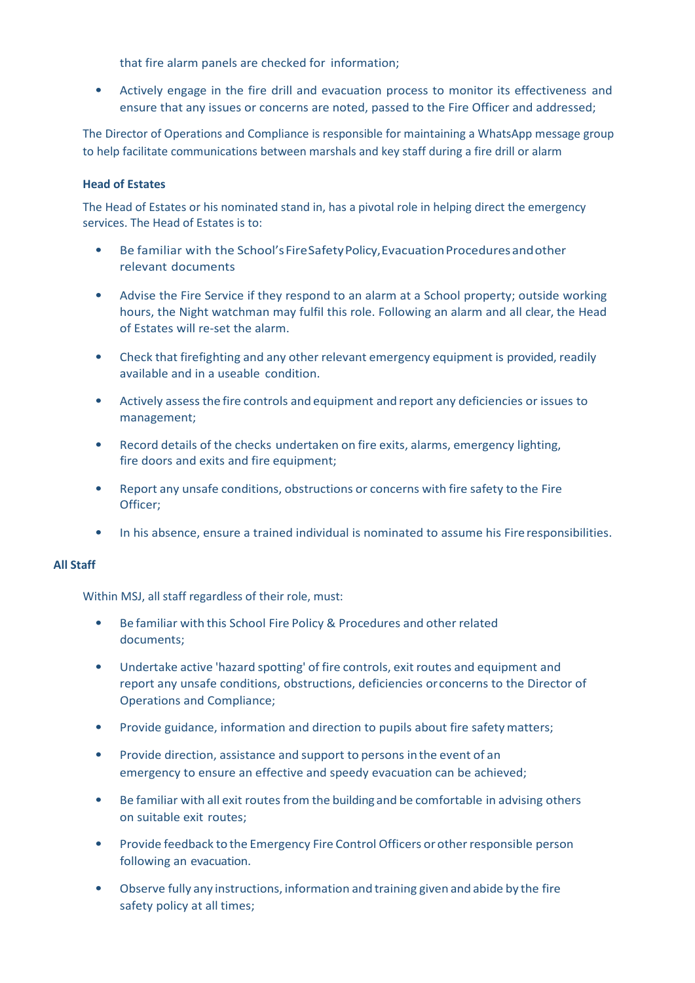that fire alarm panels are checked for information;

• Actively engage in the fire drill and evacuation process to monitor its effectiveness and ensure that any issues or concerns are noted, passed to the Fire Officer and addressed;

The Director of Operations and Compliance is responsible for maintaining a WhatsApp message group to help facilitate communications between marshals and key staff during a fire drill or alarm

### **Head of Estates**

The Head of Estates or his nominated stand in, has a pivotal role in helping direct the emergency services. The Head of Estates is to:

- Be familiar with the School's FireSafety Policy, Evacuation Procedures and other relevant documents
- Advise the Fire Service if they respond to an alarm at a School property; outside working hours, the Night watchman may fulfil this role. Following an alarm and all clear, the Head of Estates will re-set the alarm.
- Check that firefighting and any other relevant emergency equipment is provided, readily available and in a useable condition.
- Actively assessthe fire controls and equipment and report any deficiencies or issues to management;
- Record details of the checks undertaken on fire exits, alarms, emergency lighting, fire doors and exits and fire equipment;
- Report any unsafe conditions, obstructions or concerns with fire safety to the Fire Officer;
- In his absence, ensure a trained individual is nominated to assume his Fireresponsibilities.

### **All Staff**

Within MSJ, all staff regardless of their role, must:

- Be familiar with this School Fire Policy & Procedures and other related documents;
- Undertake active 'hazard spotting' of fire controls, exit routes and equipment and report any unsafe conditions, obstructions, deficiencies orconcerns to the Director of Operations and Compliance;
- Provide guidance, information and direction to pupils about fire safety matters;
- Provide direction, assistance and support to persons inthe event of an emergency to ensure an effective and speedy evacuation can be achieved;
- Be familiar with all exit routes from the building and be comfortable in advising others on suitable exit routes;
- Provide feedback to the Emergency Fire Control Officers or other responsible person following an evacuation.
- Observe fully any instructions, information and training given and abide by the fire safety policy at all times;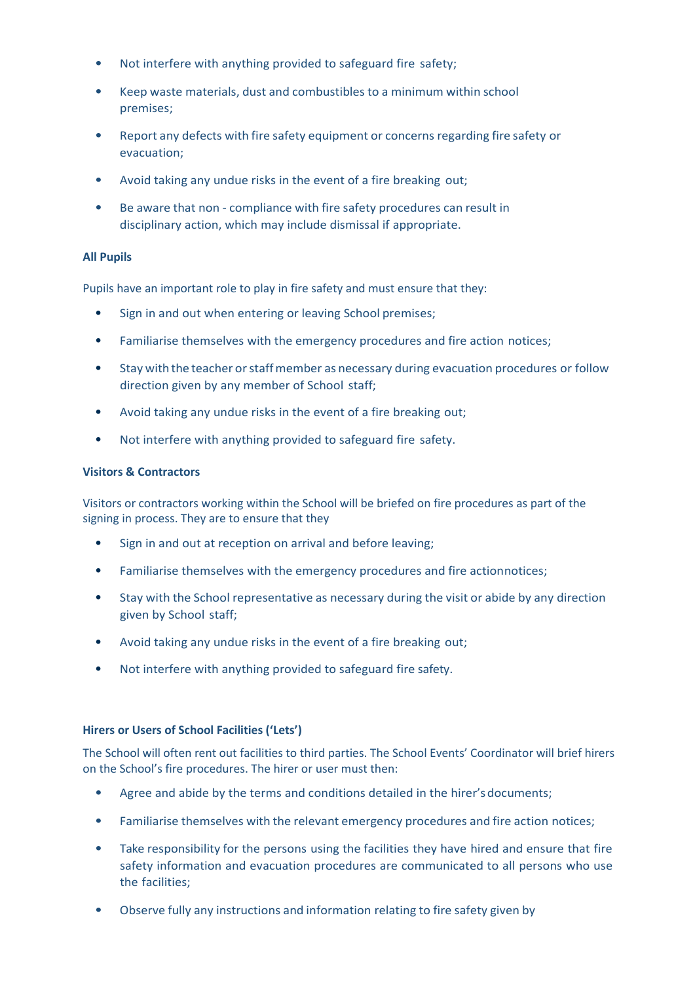- Not interfere with anything provided to safeguard fire safety;
- Keep waste materials, dust and combustibles to a minimum within school premises;
- Report any defects with fire safety equipment or concerns regarding fire safety or evacuation;
- Avoid taking any undue risks in the event of a fire breaking out;
- Be aware that non compliance with fire safety procedures can result in disciplinary action, which may include dismissal if appropriate.

# **All Pupils**

Pupils have an important role to play in fire safety and must ensure that they:

- Sign in and out when entering or leaving School premises;
- Familiarise themselves with the emergency procedures and fire action notices;
- Stay with the teacher orstaffmember as necessary during evacuation procedures or follow direction given by any member of School staff;
- Avoid taking any undue risks in the event of a fire breaking out;
- Not interfere with anything provided to safeguard fire safety.

### **Visitors & Contractors**

Visitors or contractors working within the School will be briefed on fire procedures as part of the signing in process. They are to ensure that they

- Sign in and out at reception on arrival and before leaving;
- Familiarise themselves with the emergency procedures and fire actionnotices;
- Stay with the School representative as necessary during the visit or abide by any direction given by School staff;
- Avoid taking any undue risks in the event of a fire breaking out;
- Not interfere with anything provided to safeguard fire safety.

### **Hirers or Users of School Facilities ('Lets')**

The School will often rent out facilities to third parties. The School Events' Coordinator will brief hirers on the School's fire procedures. The hirer or user must then:

- Agree and abide by the terms and conditions detailed in the hirer's documents;
- Familiarise themselves with the relevant emergency procedures and fire action notices;
- Take responsibility for the persons using the facilities they have hired and ensure that fire safety information and evacuation procedures are communicated to all persons who use the facilities;
- Observe fully any instructions and information relating to fire safety given by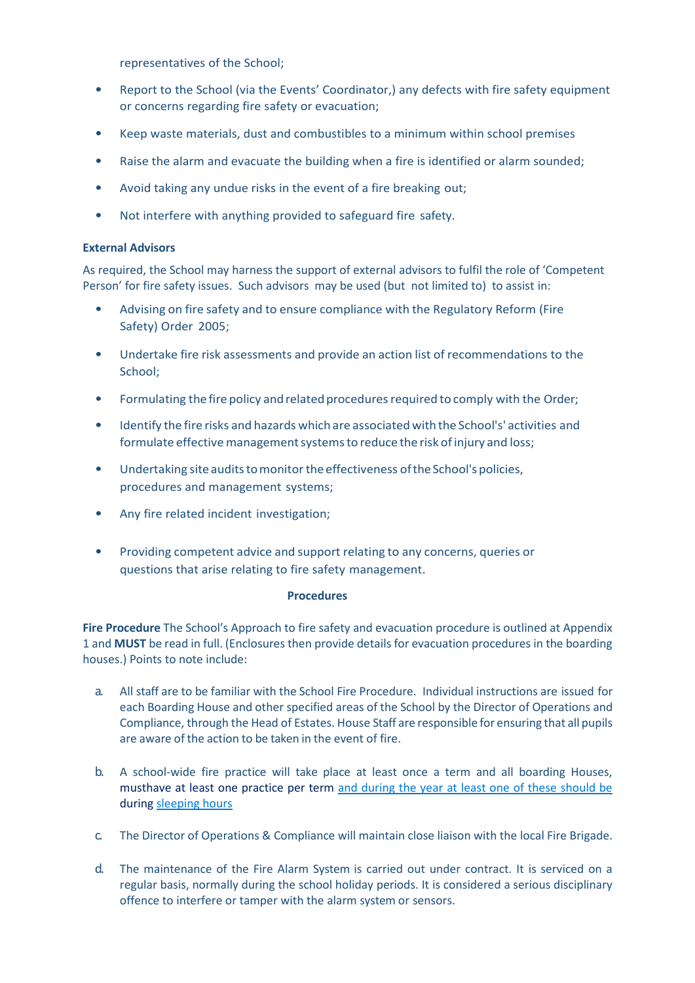representatives of the School;

- Report to the School (via the Events' Coordinator,) any defects with fire safety equipment or concerns regarding fire safety or evacuation;
- Keep waste materials, dust and combustibles to a minimum within school premises
- Raise the alarm and evacuate the building when a fire is identified or alarm sounded;
- Avoid taking any undue risks in the event of a fire breaking out;
- Not interfere with anything provided to safeguard fire safety.

### **External Advisors**

As required, the School may harness the support of external advisors to fulfil the role of 'Competent Person' for fire safety issues. Such advisors may be used (but not limited to) to assist in:

- Advising on fire safety and to ensure compliance with the Regulatory Reform (Fire Safety) Order 2005;
- Undertake fire risk assessments and provide an action list of recommendations to the School;
- Formulating the fire policy and related procedures required to comply with the Order;
- Identify the fire risks and hazards which are associated with the School's' activities and formulate effective management systems to reduce the risk of injury and loss;
- Undertaking site audits to monitor the effectiveness of the School's policies, procedures and management systems;
- Any fire related incident investigation;
- Providing competent advice and support relating to any concerns, queries or questions that arise relating to fire safety management.

#### **Procedures**

**Fire Procedure** The School's Approach to fire safety and evacuation procedure is outlined at Appendix 1 and **MUST** be read in full. (Enclosures then provide details for evacuation procedures in the boarding houses.) Points to note include:

- a. All staff are to be familiar with the School Fire Procedure. Individual instructions are issued for each Boarding House and other specified areas of the School by the Director of Operations and Compliance, through the Head of Estates. House Staff are responsible for ensuring that all pupils are aware of the action to be taken in the event of fire.
- b. A school-wide fire practice will take place at least once a term and all boarding Houses, musthave at least one practice per term and during the year at least one of these should be during sleeping hours
- c. The Director of Operations & Compliance will maintain close liaison with the local Fire Brigade.
- d. The maintenance of the Fire Alarm System is carried out under contract. It is serviced on a regular basis, normally during the school holiday periods. It is considered a serious disciplinary offence to interfere or tamper with the alarm system or sensors.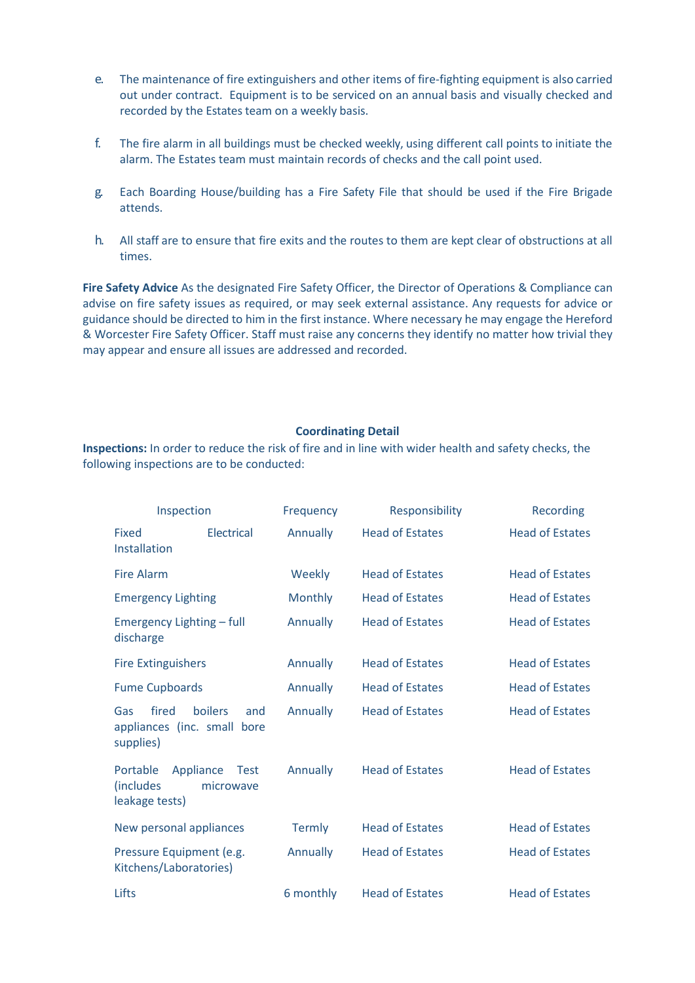- e. The maintenance of fire extinguishers and other items of fire-fighting equipment is also carried out under contract. Equipment is to be serviced on an annual basis and visually checked and recorded by the Estates team on a weekly basis.
- f. The fire alarm in all buildings must be checked weekly, using different call points to initiate the alarm. The Estates team must maintain records of checks and the call point used.
- g. Each Boarding House/building has a Fire Safety File that should be used if the Fire Brigade attends.
- h. All staff are to ensure that fire exits and the routes to them are kept clear of obstructions at all times.

**Fire Safety Advice** As the designated Fire Safety Officer, the Director of Operations & Compliance can advise on fire safety issues as required, or may seek external assistance. Any requests for advice or guidance should be directed to him in the first instance. Where necessary he may engage the Hereford & Worcester Fire Safety Officer. Staff must raise any concerns they identify no matter how trivial they may appear and ensure all issues are addressed and recorded.

# **Coordinating Detail**

**Inspections:** In order to reduce the risk of fire and in line with wider health and safety checks, the following inspections are to be conducted:

| Inspection                                                                        |                | Frequency       | Responsibility         | Recording              |
|-----------------------------------------------------------------------------------|----------------|-----------------|------------------------|------------------------|
| <b>Fixed</b><br>Installation                                                      | Electrical     | Annually        | <b>Head of Estates</b> | <b>Head of Estates</b> |
| <b>Fire Alarm</b>                                                                 |                | Weekly          | <b>Head of Estates</b> | <b>Head of Estates</b> |
| <b>Emergency Lighting</b>                                                         |                | <b>Monthly</b>  | <b>Head of Estates</b> | <b>Head of Estates</b> |
| Emergency Lighting - full<br>discharge                                            |                | Annually        | <b>Head of Estates</b> | <b>Head of Estates</b> |
| <b>Fire Extinguishers</b>                                                         |                | Annually        | <b>Head of Estates</b> | <b>Head of Estates</b> |
| <b>Fume Cupboards</b>                                                             |                | Annually        | <b>Head of Estates</b> | Head of Estates        |
| fired<br>Gas<br>appliances (inc. small bore<br>supplies)                          | boilers<br>and | Annually        | <b>Head of Estates</b> | <b>Head of Estates</b> |
| Appliance<br>Portable<br><b>Test</b><br>(includes)<br>microwave<br>leakage tests) |                | Annually        | <b>Head of Estates</b> | <b>Head of Estates</b> |
| New personal appliances                                                           |                | Termly          | <b>Head of Estates</b> | Head of Estates        |
| Pressure Equipment (e.g.<br>Kitchens/Laboratories)                                |                | <b>Annually</b> | <b>Head of Estates</b> | <b>Head of Estates</b> |
| Lifts                                                                             |                | 6 monthly       | <b>Head of Estates</b> | <b>Head of Estates</b> |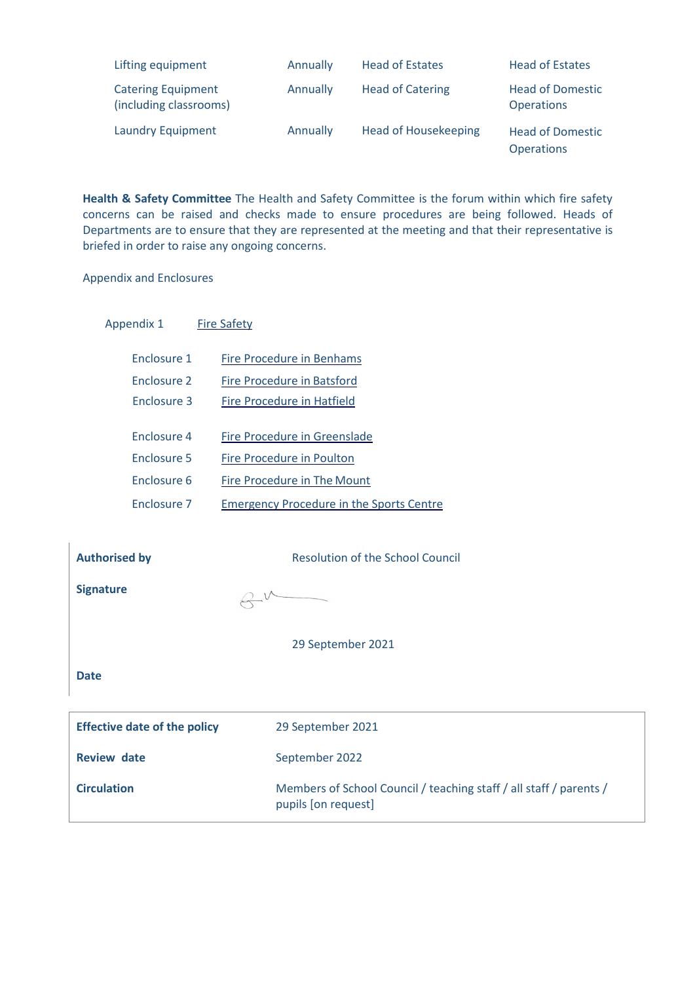| Lifting equipment                                   | Annually | <b>Head of Estates</b>      | <b>Head of Estates</b>                       |
|-----------------------------------------------------|----------|-----------------------------|----------------------------------------------|
| <b>Catering Equipment</b><br>(including classrooms) | Annually | <b>Head of Catering</b>     | <b>Head of Domestic</b><br><b>Operations</b> |
| <b>Laundry Equipment</b>                            | Annually | <b>Head of Housekeeping</b> | <b>Head of Domestic</b><br><b>Operations</b> |

**Health & Safety Committee** The Health and Safety Committee is the forum within which fire safety concerns can be raised and checks made to ensure procedures are being followed. Heads of Departments are to ensure that they are represented at the meeting and that their representative is briefed in order to raise any ongoing concerns.

Appendix and Enclosures

Appendix 1 [Fire Safety](#page-8-0)

- Enclosure 1 [Fire Procedure in Benhams](#page-14-0)
- Enclosure 2 [Fire Procedure in](#page-14-0) Batsford
- Enclosure 3 [Fire Procedure in Hatfield](#page-18-0)
- Enclosure 4 [Fire Procedure in Greenslade](#page-20-0)
- Enclosure 5 [Fire Procedure in Poulton](#page-22-0)
- Enclosure 6 [Fire Procedure in The](#page-24-0) Mount
- Enclosure 7 [Emergency Procedure in the Sports](#page-27-0) Centre

**Authorised by Resolution of the School Council Signature**  $8 - 10$ 29 September 2021 **Date**

| <b>Effective date of the policy</b> | 29 September 2021                                                                         |
|-------------------------------------|-------------------------------------------------------------------------------------------|
| <b>Review date</b>                  | September 2022                                                                            |
| <b>Circulation</b>                  | Members of School Council / teaching staff / all staff / parents /<br>pupils [on request] |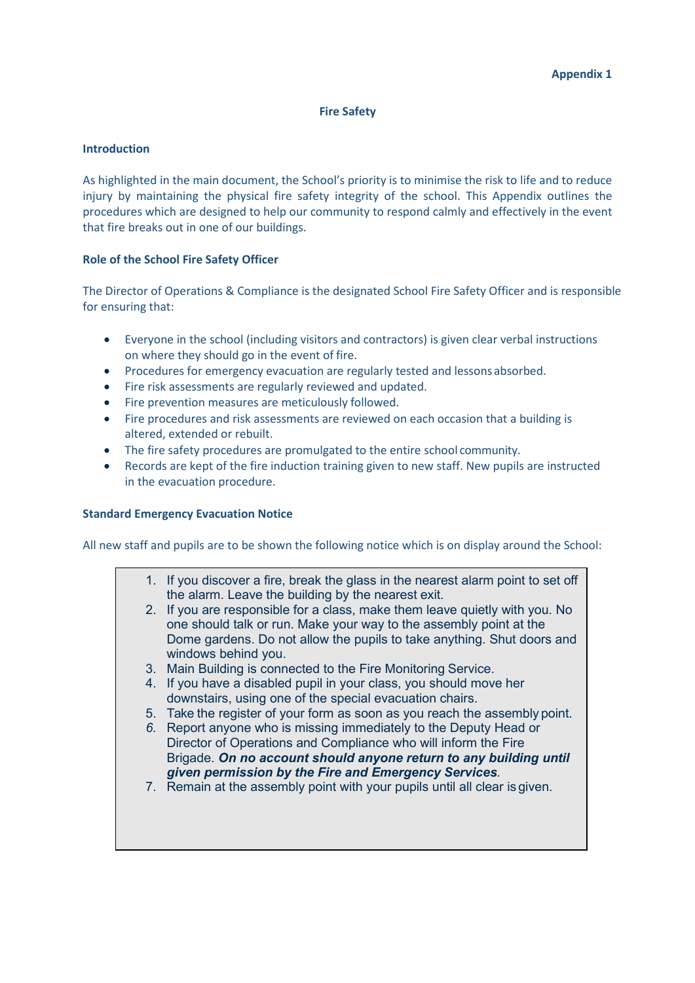## **Fire Safety**

### <span id="page-8-0"></span>**Introduction**

As highlighted in the main document, the School's priority is to minimise the risk to life and to reduce injury by maintaining the physical fire safety integrity of the school. This Appendix outlines the procedures which are designed to help our community to respond calmly and effectively in the event that fire breaks out in one of our buildings.

### **Role of the School Fire Safety Officer**

The Director of Operations & Compliance is the designated School Fire Safety Officer and is responsible for ensuring that:

- Everyone in the school (including visitors and contractors) is given clear verbal instructions on where they should go in the event of fire.
- Procedures for emergency evacuation are regularly tested and lessons absorbed.
- Fire risk assessments are regularly reviewed and updated.
- Fire prevention measures are meticulously followed.
- Fire procedures and risk assessments are reviewed on each occasion that a building is altered, extended or rebuilt.
- The fire safety procedures are promulgated to the entire school community.
- Records are kept of the fire induction training given to new staff. New pupils are instructed in the evacuation procedure.

### **Standard Emergency Evacuation Notice**

All new staff and pupils are to be shown the following notice which is on display around the School:

- 1. If you discover a fire, break the glass in the nearest alarm point to set off the alarm. Leave the building by the nearest exit.
- 2. If you are responsible for a class, make them leave quietly with you. No one should talk or run. Make your way to the assembly point at the Dome gardens. Do not allow the pupils to take anything. Shut doors and windows behind you.
- 3. Main Building is connected to the Fire Monitoring Service.
- 4. If you have a disabled pupil in your class, you should move her downstairs, using one of the special evacuation chairs.
- 5. Take the register of your form as soon as you reach the assembly point.
- *6.* Report anyone who is missing immediately to the Deputy Head or Director of Operations and Compliance who will inform the Fire Brigade. *On no account should anyone return to any building until given permission by the Fire and Emergency Services.*
- 7. Remain at the assembly point with your pupils until all clear is given.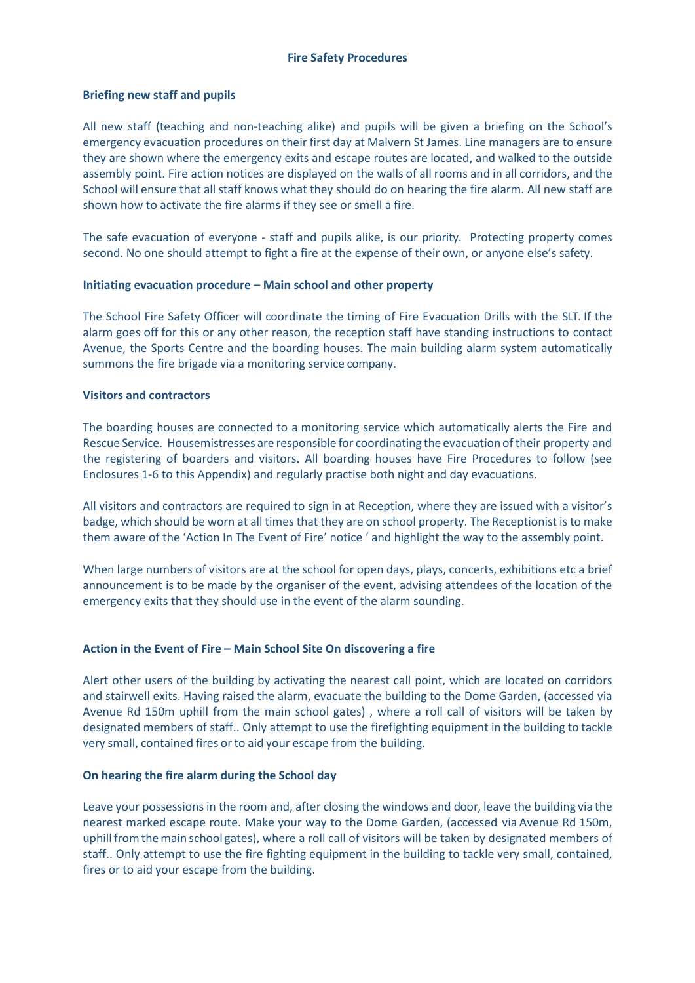### **Briefing new staff and pupils**

All new staff (teaching and non-teaching alike) and pupils will be given a briefing on the School's emergency evacuation procedures on their first day at Malvern St James. Line managers are to ensure they are shown where the emergency exits and escape routes are located, and walked to the outside assembly point. Fire action notices are displayed on the walls of all rooms and in all corridors, and the School will ensure that all staff knows what they should do on hearing the fire alarm. All new staff are shown how to activate the fire alarms if they see or smell a fire.

The safe evacuation of everyone - staff and pupils alike, is our priority. Protecting property comes second. No one should attempt to fight a fire at the expense of their own, or anyone else's safety.

#### **Initiating evacuation procedure – Main school and other property**

The School Fire Safety Officer will coordinate the timing of Fire Evacuation Drills with the SLT. If the alarm goes off for this or any other reason, the reception staff have standing instructions to contact Avenue, the Sports Centre and the boarding houses. The main building alarm system automatically summons the fire brigade via a monitoring service company.

#### **Visitors and contractors**

The boarding houses are connected to a monitoring service which automatically alerts the Fire and Rescue Service. Housemistresses are responsible for coordinating the evacuation oftheir property and the registering of boarders and visitors. All boarding houses have Fire Procedures to follow (see Enclosures 1-6 to this Appendix) and regularly practise both night and day evacuations.

All visitors and contractors are required to sign in at Reception, where they are issued with a visitor's badge, which should be worn at all times that they are on school property. The Receptionist is to make them aware of the 'Action In The Event of Fire' notice ' and highlight the way to the assembly point.

When large numbers of visitors are at the school for open days, plays, concerts, exhibitions etc a brief announcement is to be made by the organiser of the event, advising attendees of the location of the emergency exits that they should use in the event of the alarm sounding.

### **Action in the Event of Fire – Main School Site On discovering a fire**

Alert other users of the building by activating the nearest call point, which are located on corridors and stairwell exits. Having raised the alarm, evacuate the building to the Dome Garden, (accessed via Avenue Rd 150m uphill from the main school gates) , where a roll call of visitors will be taken by designated members of staff.. Only attempt to use the firefighting equipment in the building to tackle very small, contained fires or to aid your escape from the building.

### **On hearing the fire alarm during the School day**

Leave your possessions in the room and, after closing the windows and door, leave the building via the nearest marked escape route. Make your way to the Dome Garden, (accessed via Avenue Rd 150m, uphillfromthemain school gates), where a roll call of visitors will be taken by designated members of staff.. Only attempt to use the fire fighting equipment in the building to tackle very small, contained, fires or to aid your escape from the building.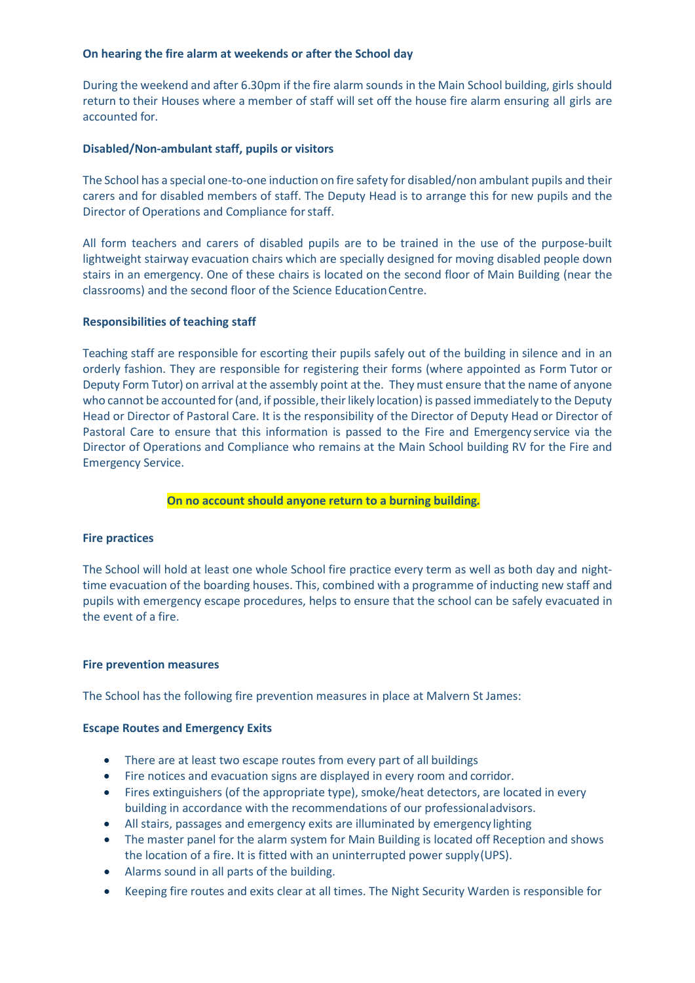### **On hearing the fire alarm at weekends or after the School day**

During the weekend and after 6.30pm if the fire alarm sounds in the Main School building, girls should return to their Houses where a member of staff will set off the house fire alarm ensuring all girls are accounted for.

## **Disabled/Non-ambulant staff, pupils or visitors**

The School has a special one-to-one induction on fire safety for disabled/non ambulant pupils and their carers and for disabled members of staff. The Deputy Head is to arrange this for new pupils and the Director of Operations and Compliance forstaff.

All form teachers and carers of disabled pupils are to be trained in the use of the purpose-built lightweight stairway evacuation chairs which are specially designed for moving disabled people down stairs in an emergency. One of these chairs is located on the second floor of Main Building (near the classrooms) and the second floor of the Science EducationCentre.

### **Responsibilities of teaching staff**

Teaching staff are responsible for escorting their pupils safely out of the building in silence and in an orderly fashion. They are responsible for registering their forms (where appointed as Form Tutor or Deputy Form Tutor) on arrival at the assembly point at the. They must ensure that the name of anyone who cannot be accounted for (and, if possible, their likely location) is passed immediately to the Deputy Head or Director of Pastoral Care. It is the responsibility of the Director of Deputy Head or Director of Pastoral Care to ensure that this information is passed to the Fire and Emergency service via the Director of Operations and Compliance who remains at the Main School building RV for the Fire and Emergency Service.

### **On no account should anyone return to a burning building***.*

### **Fire practices**

The School will hold at least one whole School fire practice every term as well as both day and nighttime evacuation of the boarding houses. This, combined with a programme of inducting new staff and pupils with emergency escape procedures, helps to ensure that the school can be safely evacuated in the event of a fire.

### **Fire prevention measures**

The School has the following fire prevention measures in place at Malvern St James:

### **Escape Routes and Emergency Exits**

- There are at least two escape routes from every part of all buildings
- Fire notices and evacuation signs are displayed in every room and corridor.
- Fires extinguishers (of the appropriate type), smoke/heat detectors, are located in every building in accordance with the recommendations of our professionaladvisors.
- All stairs, passages and emergency exits are illuminated by emergency lighting
- The master panel for the alarm system for Main Building is located off Reception and shows the location of a fire. It is fitted with an uninterrupted power supply(UPS).
- Alarms sound in all parts of the building.
- Keeping fire routes and exits clear at all times. The Night Security Warden is responsible for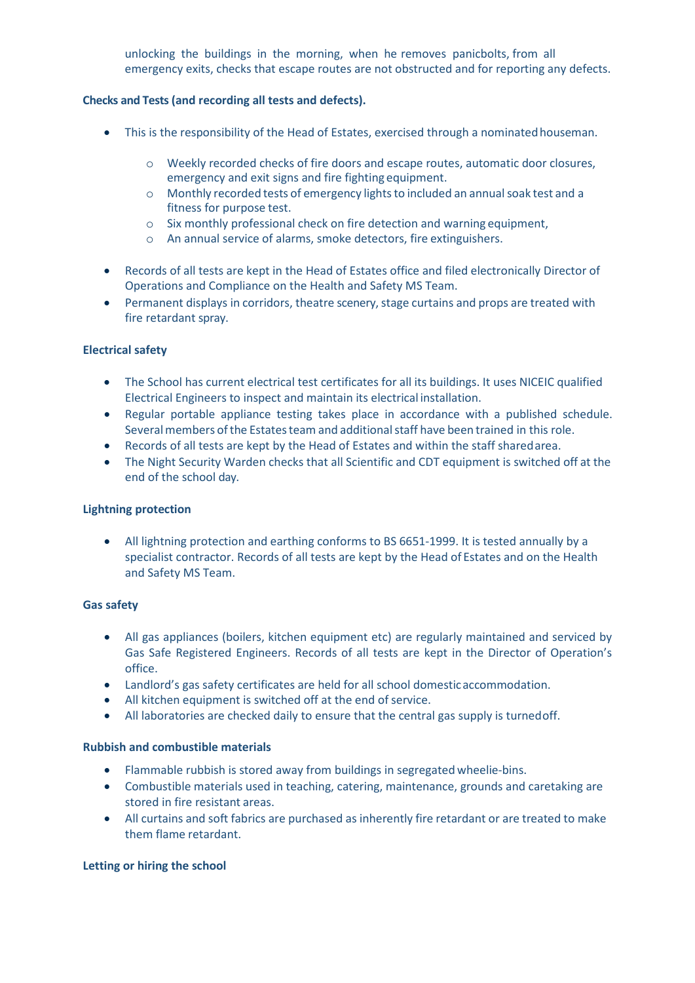unlocking the buildings in the morning, when he removes panicbolts, from all emergency exits, checks that escape routes are not obstructed and for reporting any defects.

# **Checks and Tests(and recording all tests and defects).**

- This is the responsibility of the Head of Estates, exercised through a nominated houseman.
	- o Weekly recorded checks of fire doors and escape routes, automatic door closures, emergency and exit signs and fire fighting equipment.
	- o Monthly recorded tests of emergency lightsto included an annualsoak test and a fitness for purpose test.
	- o Six monthly professional check on fire detection and warning equipment,
	- o An annual service of alarms, smoke detectors, fire extinguishers.
- Records of all tests are kept in the Head of Estates office and filed electronically Director of Operations and Compliance on the Health and Safety MS Team.
- Permanent displays in corridors, theatre scenery, stage curtains and props are treated with fire retardant spray.

### **Electrical safety**

- The School has current electrical test certificates for all its buildings. It uses NICEIC qualified Electrical Engineers to inspect and maintain its electrical installation.
- Regular portable appliance testing takes place in accordance with a published schedule. Several members of the Estates team and additional staff have been trained in this role.
- Records of all tests are kept by the Head of Estates and within the staff sharedarea.
- The Night Security Warden checks that all Scientific and CDT equipment is switched off at the end of the school day.

### **Lightning protection**

• All lightning protection and earthing conforms to BS 6651-1999. It is tested annually by a specialist contractor. Records of all tests are kept by the Head of Estates and on the Health and Safety MS Team.

### **Gas safety**

- All gas appliances (boilers, kitchen equipment etc) are regularly maintained and serviced by Gas Safe Registered Engineers. Records of all tests are kept in the Director of Operation's office.
- Landlord's gas safety certificates are held for all school domesticaccommodation.
- All kitchen equipment is switched off at the end of service.
- All laboratories are checked daily to ensure that the central gas supply is turnedoff.

### **Rubbish and combustible materials**

- Flammable rubbish is stored away from buildings in segregated wheelie-bins.
- Combustible materials used in teaching, catering, maintenance, grounds and caretaking are stored in fire resistant areas.
- All curtains and soft fabrics are purchased as inherently fire retardant or are treated to make them flame retardant.

### **Letting or hiring the school**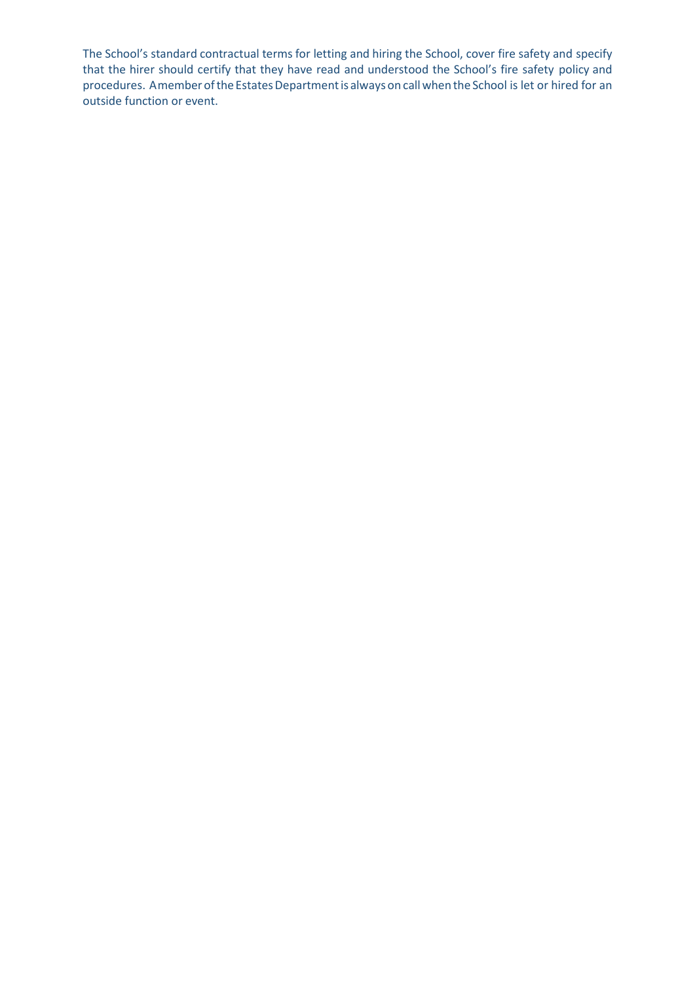The School's standard contractual terms for letting and hiring the School, cover fire safety and specify that the hirer should certify that they have read and understood the School's fire safety policy and procedures. Amember of the Estates Department is always on call when the School is let or hired for an outside function or event.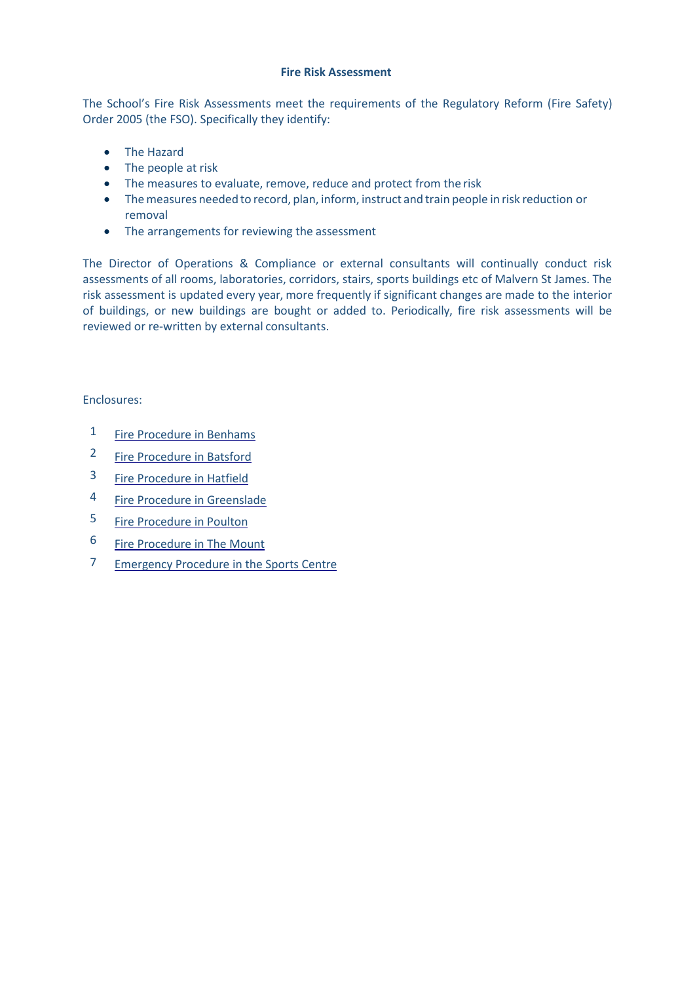### **Fire Risk Assessment**

The School's Fire Risk Assessments meet the requirements of the Regulatory Reform (Fire Safety) Order 2005 (the FSO). Specifically they identify:

- The Hazard
- The people at risk
- The measures to evaluate, remove, reduce and protect from the risk
- Themeasures needed to record, plan, inform, instruct and train people in risk reduction or removal
- The arrangements for reviewing the assessment

The Director of Operations & Compliance or external consultants will continually conduct risk assessments of all rooms, laboratories, corridors, stairs, sports buildings etc of Malvern St James. The risk assessment is updated every year, more frequently if significant changes are made to the interior of buildings, or new buildings are bought or added to. Periodically, fire risk assessments will be reviewed or re-written by external consultants.

# Enclosures:

- 1 [Fire Procedure in Benhams](#page-14-1)
- 2 [Fire Procedure in Batsford](#page-15-0)
- 3 [Fire Procedure in Hatfield](#page-18-1)
- 4 [Fire Procedure in Greenslade](#page-20-1)
- 5 [Fire Procedure in Poulton](#page-22-1)
- 6 [Fire Procedure in The Mount](#page-24-1)
- 7 [Emergency Procedure in the Sports Centre](#page-27-1)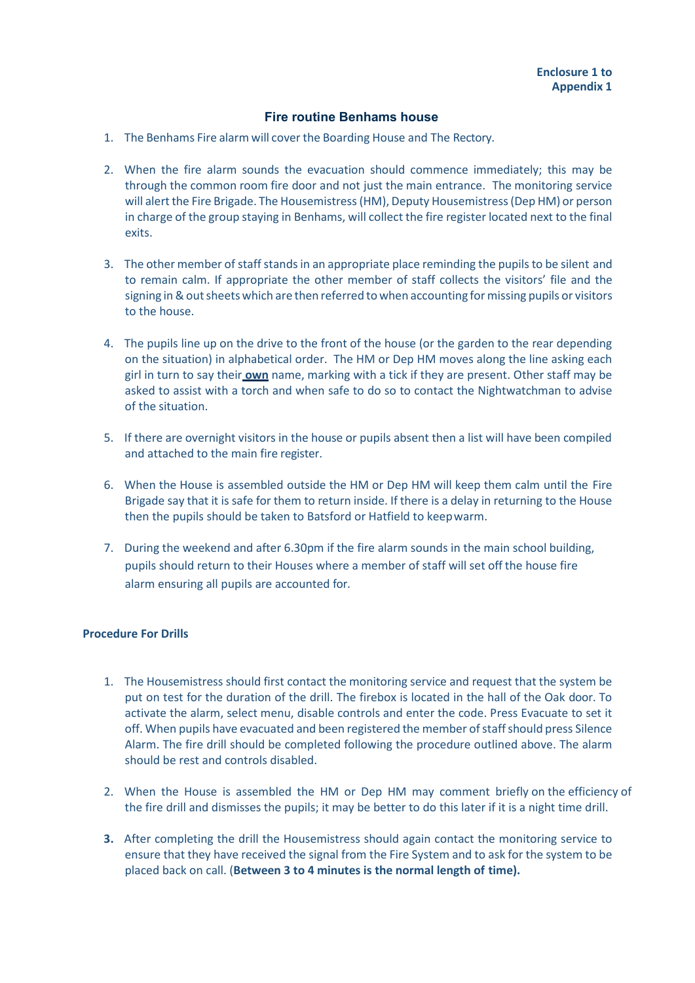# **Fire routine Benhams house**

- <span id="page-14-1"></span><span id="page-14-0"></span>1. The Benhams Fire alarm will cover the Boarding House and The Rectory.
- 2. When the fire alarm sounds the evacuation should commence immediately; this may be through the common room fire door and not just the main entrance. The monitoring service will alert the Fire Brigade. The Housemistress (HM), Deputy Housemistress (Dep HM) or person in charge of the group staying in Benhams, will collect the fire register located next to the final exits.
- 3. The other member of staff stands in an appropriate place reminding the pupils to be silent and to remain calm. If appropriate the other member of staff collects the visitors' file and the signing in & out sheets which are then referred to when accounting for missing pupils or visitors to the house.
- 4. The pupils line up on the drive to the front of the house (or the garden to the rear depending on the situation) in alphabetical order. The HM or Dep HM moves along the line asking each girl in turn to say their **own** name, marking with a tick if they are present. Other staff may be asked to assist with a torch and when safe to do so to contact the Nightwatchman to advise of the situation.
- 5. If there are overnight visitors in the house or pupils absent then a list will have been compiled and attached to the main fire register.
- 6. When the House is assembled outside the HM or Dep HM will keep them calm until the Fire Brigade say that it is safe for them to return inside. If there is a delay in returning to the House then the pupils should be taken to Batsford or Hatfield to keepwarm.
- 7. During the weekend and after 6.30pm if the fire alarm sounds in the main school building, pupils should return to their Houses where a member of staff will set off the house fire alarm ensuring all pupils are accounted for.

## **Procedure For Drills**

- 1. The Housemistress should first contact the monitoring service and request that the system be put on test for the duration of the drill. The firebox is located in the hall of the Oak door. To activate the alarm, select menu, disable controls and enter the code. Press Evacuate to set it off. When pupils have evacuated and been registered the member of staffshould press Silence Alarm. The fire drill should be completed following the procedure outlined above. The alarm should be rest and controls disabled.
- 2. When the House is assembled the HM or Dep HM may comment briefly on the efficiency of the fire drill and dismisses the pupils; it may be better to do this later if it is a night time drill.
- **3.** After completing the drill the Housemistress should again contact the monitoring service to ensure that they have received the signal from the Fire System and to ask for the system to be placed back on call. (**Between 3 to 4 minutes is the normal length of time).**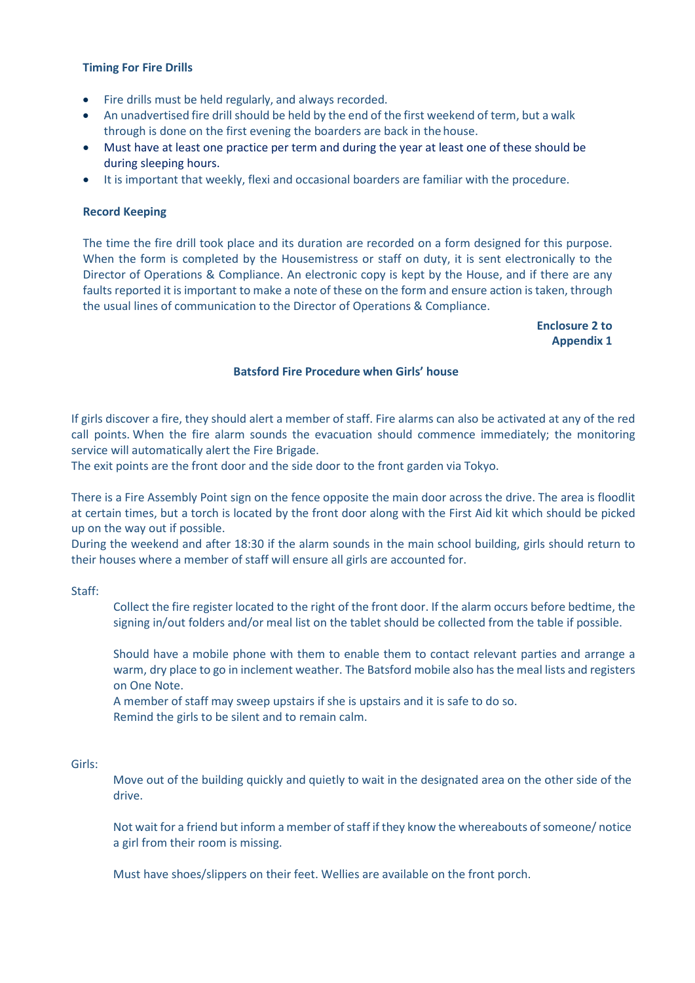### **Timing For Fire Drills**

- Fire drills must be held regularly, and always recorded.
- An unadvertised fire drill should be held by the end of the first weekend of term, but a walk through is done on the first evening the boarders are back in the house.
- Must have at least one practice per term and during the year at least one of these should be during sleeping hours.
- It is important that weekly, flexi and occasional boarders are familiar with the procedure.

#### **Record Keeping**

The time the fire drill took place and its duration are recorded on a form designed for this purpose. When the form is completed by the Housemistress or staff on duty, it is sent electronically to the Director of Operations & Compliance. An electronic copy is kept by the House, and if there are any faults reported it is important to make a note of these on the form and ensure action is taken, through the usual lines of communication to the Director of Operations & Compliance.

> **Enclosure 2 to Appendix 1**

#### **Batsford Fire Procedure when Girls' house**

<span id="page-15-0"></span>If girls discover a fire, they should alert a member of staff. Fire alarms can also be activated at any of the red call points. When the fire alarm sounds the evacuation should commence immediately; the monitoring service will automatically alert the Fire Brigade.

The exit points are the front door and the side door to the front garden via Tokyo.

There is a Fire Assembly Point sign on the fence opposite the main door across the drive. The area is floodlit at certain times, but a torch is located by the front door along with the First Aid kit which should be picked up on the way out if possible.

During the weekend and after 18:30 if the alarm sounds in the main school building, girls should return to their houses where a member of staff will ensure all girls are accounted for.

#### Staff:

Collect the fire register located to the right of the front door. If the alarm occurs before bedtime, the signing in/out folders and/or meal list on the tablet should be collected from the table if possible.

Should have a mobile phone with them to enable them to contact relevant parties and arrange a warm, dry place to go in inclement weather. The Batsford mobile also has the meal lists and registers on One Note.

A member of staff may sweep upstairs if she is upstairs and it is safe to do so. Remind the girls to be silent and to remain calm.

#### Girls:

Move out of the building quickly and quietly to wait in the designated area on the other side of the drive.

Not wait for a friend but inform a member of staff if they know the whereabouts of someone/ notice a girl from their room is missing.

Must have shoes/slippers on their feet. Wellies are available on the front porch.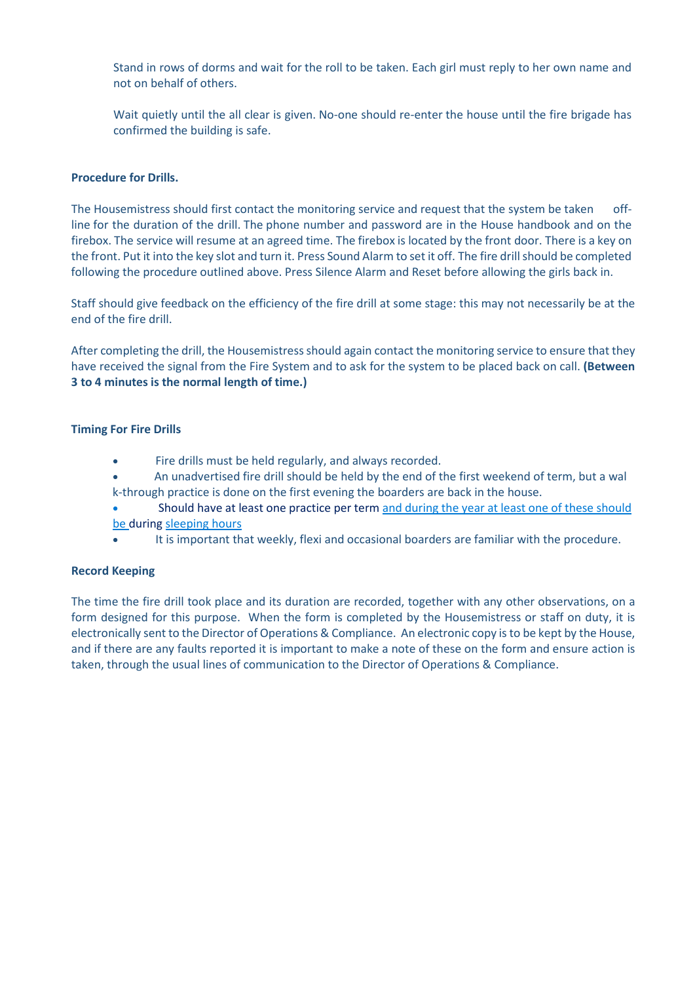Stand in rows of dorms and wait for the roll to be taken. Each girl must reply to her own name and not on behalf of others.

Wait quietly until the all clear is given. No-one should re-enter the house until the fire brigade has confirmed the building is safe.

### **Procedure for Drills.**

The Housemistress should first contact the monitoring service and request that the system be taken offline for the duration of the drill. The phone number and password are in the House handbook and on the firebox. The service will resume at an agreed time. The firebox is located by the front door. There is a key on the front. Put it into the key slot and turn it. Press Sound Alarm to set it off. The fire drill should be completed following the procedure outlined above. Press Silence Alarm and Reset before allowing the girls back in.

Staff should give feedback on the efficiency of the fire drill at some stage: this may not necessarily be at the end of the fire drill.

After completing the drill, the Housemistress should again contact the monitoring service to ensure that they have received the signal from the Fire System and to ask for the system to be placed back on call. **(Between 3 to 4 minutes is the normal length of time.)**

#### **Timing For Fire Drills**

- Fire drills must be held regularly, and always recorded.
- An unadvertised fire drill should be held by the end of the first weekend of term, but a wal k-through practice is done on the first evening the boarders are back in the house.
- Should have at least one practice per term and during the year at least one of these should be during sleeping hours
- It is important that weekly, flexi and occasional boarders are familiar with the procedure.

#### **Record Keeping**

The time the fire drill took place and its duration are recorded, together with any other observations, on a form designed for this purpose. When the form is completed by the Housemistress or staff on duty, it is electronically sent to the Director of Operations & Compliance. An electronic copy isto be kept by the House, and if there are any faults reported it is important to make a note of these on the form and ensure action is taken, through the usual lines of communication to the Director of Operations & Compliance.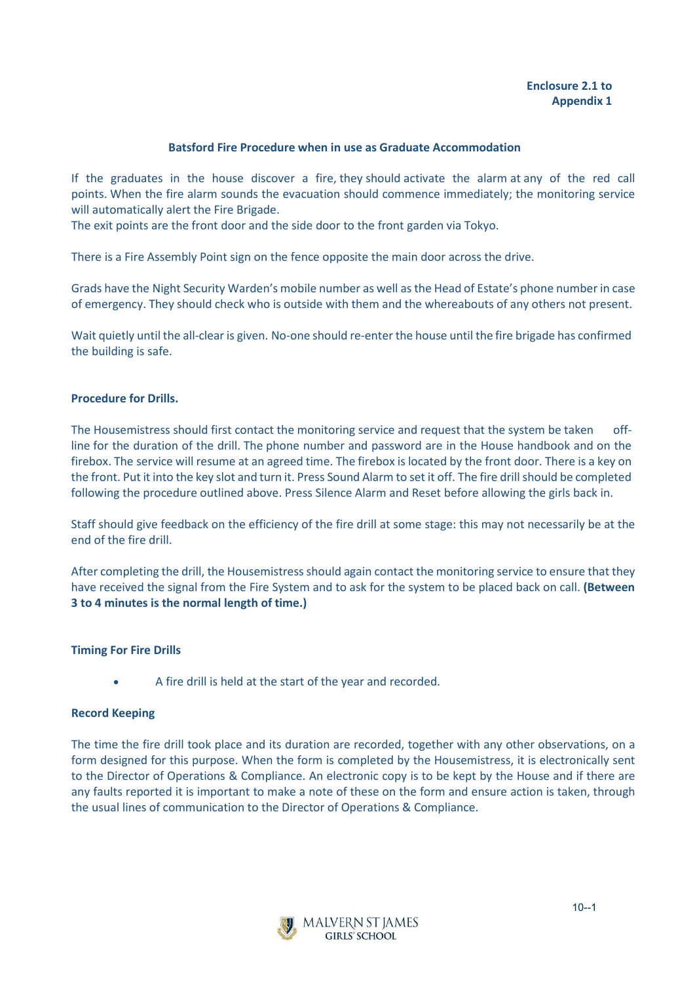#### **Batsford Fire Procedure when in use as Graduate Accommodation**

If the graduates in the house discover a fire, they should activate the alarm at any of the red call points. When the fire alarm sounds the evacuation should commence immediately; the monitoring service will automatically alert the Fire Brigade.  

The exit points are the front door and the side door to the front garden via Tokyo. 

There is a Fire Assembly Point sign on the fence opposite the main door across the drive.

Grads have the Night Security Warden's mobile number as well as the Head of Estate's phone number in case of emergency. They should check who is outside with them and the whereabouts of any others not present.

Wait quietly until the all-clear is given. No-one should re-enter the house until the fire brigade has confirmed the building is safe. 

### **Procedure for Drills.**

The Housemistress should first contact the monitoring service and request that the system be taken offline for the duration of the drill. The phone number and password are in the House handbook and on the firebox. The service will resume at an agreed time. The firebox is located by the front door. There is a key on the front. Put it into the key slot and turn it. Press Sound Alarm to set it off. The fire drill should be completed following the procedure outlined above. Press Silence Alarm and Reset before allowing the girls back in. 

Staff should give feedback on the efficiency of the fire drill at some stage: this may not necessarily be at the end of the fire drill.  

After completing the drill, the Housemistress should again contact the monitoring service to ensure that they have received the signal from the Fire System and to ask for the system to be placed back on call. **(Between 3 to 4 minutes is the normal length of time.)**

#### **Timing For Fire Drills**

• A fire drill is held at the start of the year and recorded. 

### **Record Keeping**

The time the fire drill took place and its duration are recorded, together with any other observations, on a form designed for this purpose. When the form is completed by the Housemistress, it is electronically sent to the Director of Operations & Compliance. An electronic copy is to be kept by the House and if there are any faults reported it is important to make a note of these on the form and ensure action is taken, through the usual lines of communication to the Director of Operations & Compliance.

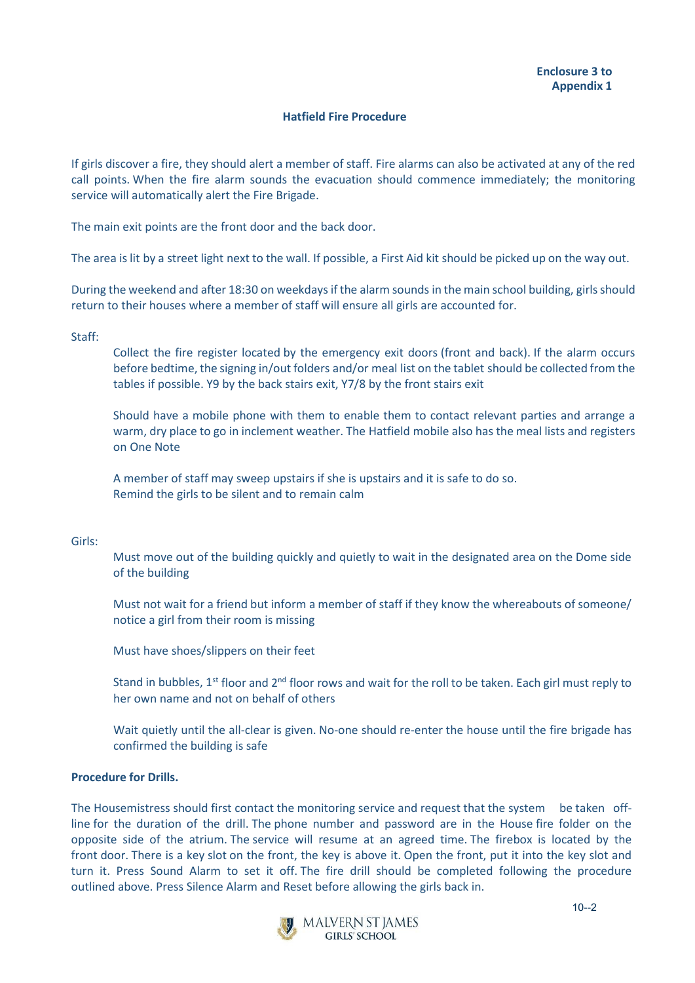# **Hatfield Fire Procedure**

<span id="page-18-1"></span><span id="page-18-0"></span>If girls discover a fire, they should alert a member of staff. Fire alarms can also be activated at any of the red call points. When the fire alarm sounds the evacuation should commence immediately; the monitoring service will automatically alert the Fire Brigade.  

The main exit points are the front door and the back door.

The area is lit by a street light next to the wall. If possible, a First Aid kit should be picked up on the way out. 

During the weekend and after 18:30 on weekdays if the alarm sounds in the main school building, girls should return to their houses where a member of staff will ensure all girls are accounted for. 

#### Staff:

Collect the fire register located by the emergency exit doors (front and back). If the alarm occurs before bedtime, the signing in/out folders and/or meal list on the tablet should be collected from the tables if possible. Y9 by the back stairs exit, Y7/8 by the front stairs exit

Should have a mobile phone with them to enable them to contact relevant parties and arrange a warm, dry place to go in inclement weather. The Hatfield mobile also has the meal lists and registers on One Note

A member of staff may sweep upstairs if she is upstairs and it is safe to do so.  Remind the girls to be silent and to remain calm 

#### Girls:

Must move out of the building quickly and quietly to wait in the designated area on the Dome side of the building

Must not wait for a friend but inform a member of staff if they know the whereabouts of someone/ notice a girl from their room is missing

Must have shoes/slippers on their feet

Stand in bubbles, 1<sup>st</sup> floor and 2<sup>nd</sup> floor rows and wait for the roll to be taken. Each girl must reply to her own name and not on behalf of others  

Wait quietly until the all-clear is given. No-one should re-enter the house until the fire brigade has confirmed the building is safe

#### **Procedure for Drills.**

The Housemistress should first contact the monitoring service and request that the system  be taken offline for the duration of the drill. The phone number and password are in the House fire folder on the opposite side of the atrium. The service will resume at an agreed time. The firebox is located by the front door. There is a key slot on the front, the key is above it. Open the front, put it into the key slot and turn it. Press Sound Alarm to set it off. The fire drill should be completed following the procedure outlined above. Press Silence Alarm and Reset before allowing the girls back in. 

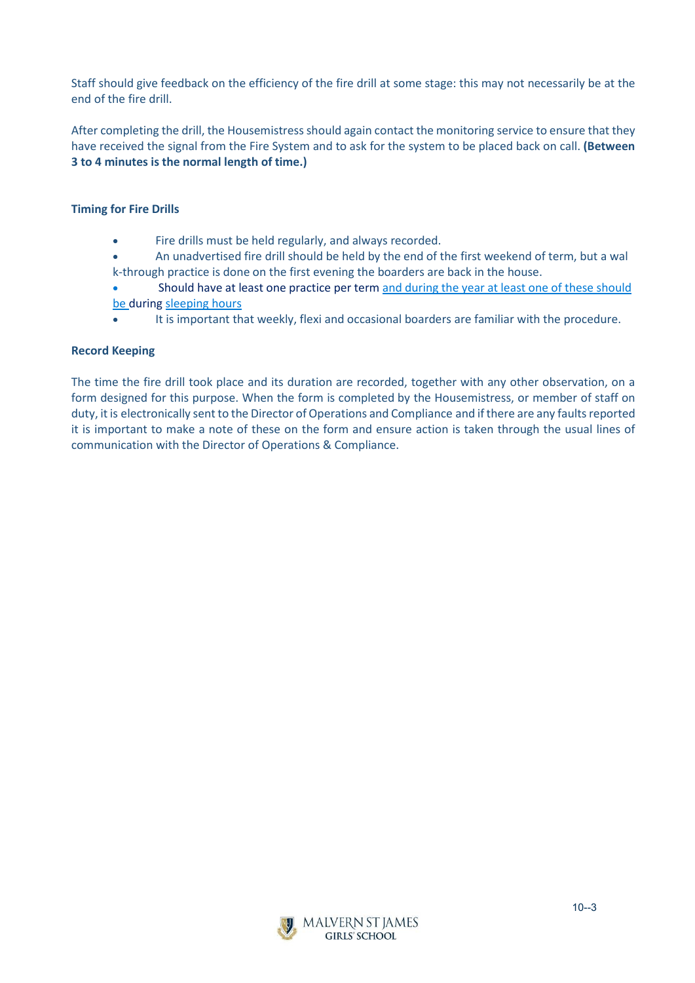Staff should give feedback on the efficiency of the fire drill at some stage: this may not necessarily be at the end of the fire drill.  

After completing the drill, the Housemistress should again contact the monitoring service to ensure that they have received the signal from the Fire System and to ask for the system to be placed back on call. **(Between 3 to 4 minutes is the normal length of time.)**

# **Timing for Fire Drills**

- Fire drills must be held regularly, and always recorded.
- An unadvertised fire drill should be held by the end of the first weekend of term, but a wal k-through practice is done on the first evening the boarders are back in the house.
- Should have at least one practice per term and during the year at least one of these should be during sleeping hours
- It is important that weekly, flexi and occasional boarders are familiar with the procedure.

### **Record Keeping**

The time the fire drill took place and its duration are recorded, together with any other observation, on a form designed for this purpose. When the form is completed by the Housemistress, or member of staff on duty, it is electronically sent to the Director of Operations and Compliance and if there are any faults reported it is important to make a note of these on the form and ensure action is taken through the usual lines of communication with the Director of Operations & Compliance.

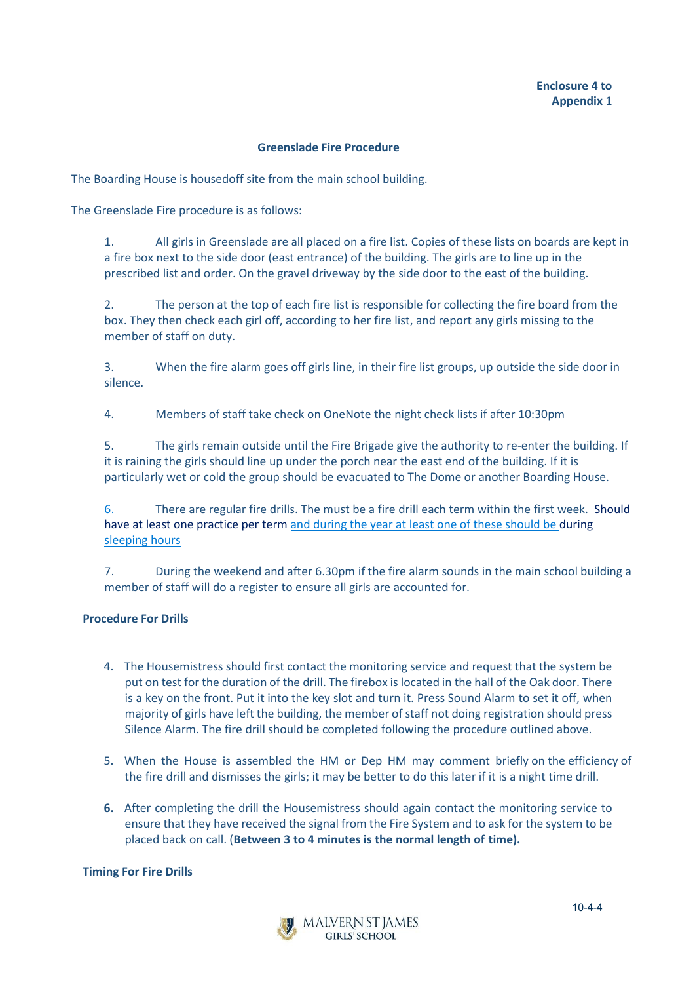### **Greenslade Fire Procedure**

<span id="page-20-1"></span><span id="page-20-0"></span>The Boarding House is housedoff site from the main school building.

The Greenslade Fire procedure is as follows:

1. All girls in Greenslade are all placed on a fire list. Copies of these lists on boards are kept in a fire box next to the side door (east entrance) of the building. The girls are to line up in the prescribed list and order. On the gravel driveway by the side door to the east of the building.

2. The person at the top of each fire list is responsible for collecting the fire board from the box. They then check each girl off, according to her fire list, and report any girls missing to the member of staff on duty.

3. When the fire alarm goes off girls line, in their fire list groups, up outside the side door in silence.

4. Members of staff take check on OneNote the night check lists if after 10:30pm

5. The girls remain outside until the Fire Brigade give the authority to re-enter the building. If it is raining the girls should line up under the porch near the east end of the building. If it is particularly wet or cold the group should be evacuated to The Dome or another Boarding House.

6. There are regular fire drills. The must be a fire drill each term within the first week. Should have at least one practice per term and during the year at least one of these should be during sleeping hours

7. During the weekend and after 6.30pm if the fire alarm sounds in the main school building a member of staff will do a register to ensure all girls are accounted for.

### **Procedure For Drills**

- 4. The Housemistress should first contact the monitoring service and request that the system be put on test for the duration of the drill. The firebox is located in the hall of the Oak door. There is a key on the front. Put it into the key slot and turn it. Press Sound Alarm to set it off, when majority of girls have left the building, the member of staff not doing registration should press Silence Alarm. The fire drill should be completed following the procedure outlined above.
- 5. When the House is assembled the HM or Dep HM may comment briefly on the efficiency of the fire drill and dismisses the girls; it may be better to do this later if it is a night time drill.
- **6.** After completing the drill the Housemistress should again contact the monitoring service to ensure that they have received the signal from the Fire System and to ask for the system to be placed back on call. (**Between 3 to 4 minutes is the normal length of time).**

### **Timing For Fire Drills**

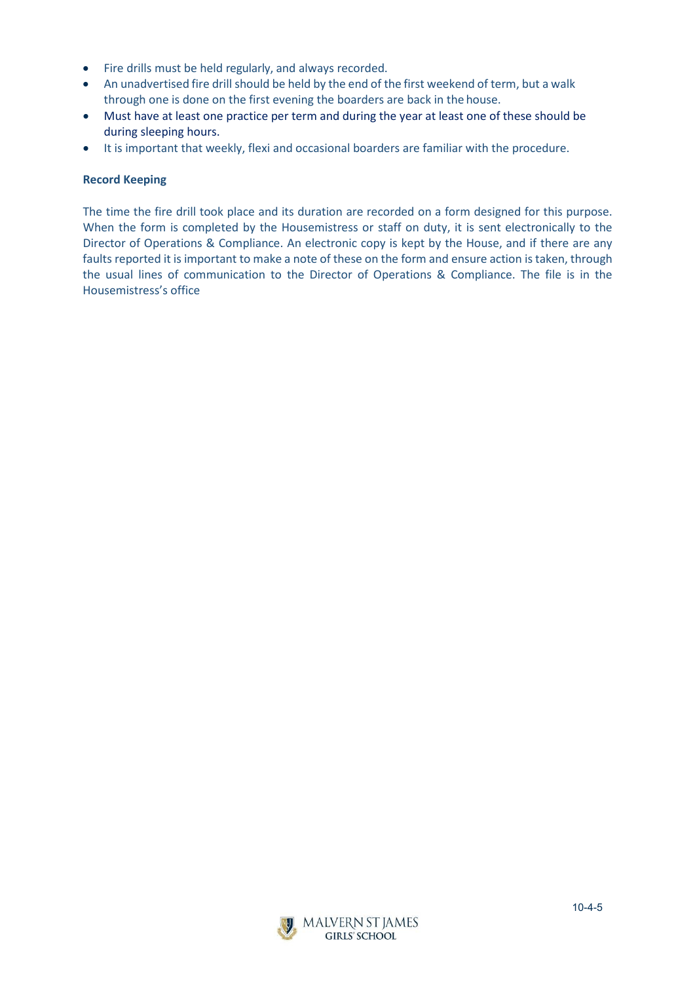- Fire drills must be held regularly, and always recorded.
- An unadvertised fire drill should be held by the end of the first weekend of term, but a walk through one is done on the first evening the boarders are back in the house.
- Must have at least one practice per term and during the year at least one of these should be during sleeping hours.
- It is important that weekly, flexi and occasional boarders are familiar with the procedure.

### **Record Keeping**

The time the fire drill took place and its duration are recorded on a form designed for this purpose. When the form is completed by the Housemistress or staff on duty, it is sent electronically to the Director of Operations & Compliance. An electronic copy is kept by the House, and if there are any faults reported it is important to make a note of these on the form and ensure action is taken, through the usual lines of communication to the Director of Operations & Compliance. The file is in the Housemistress's office

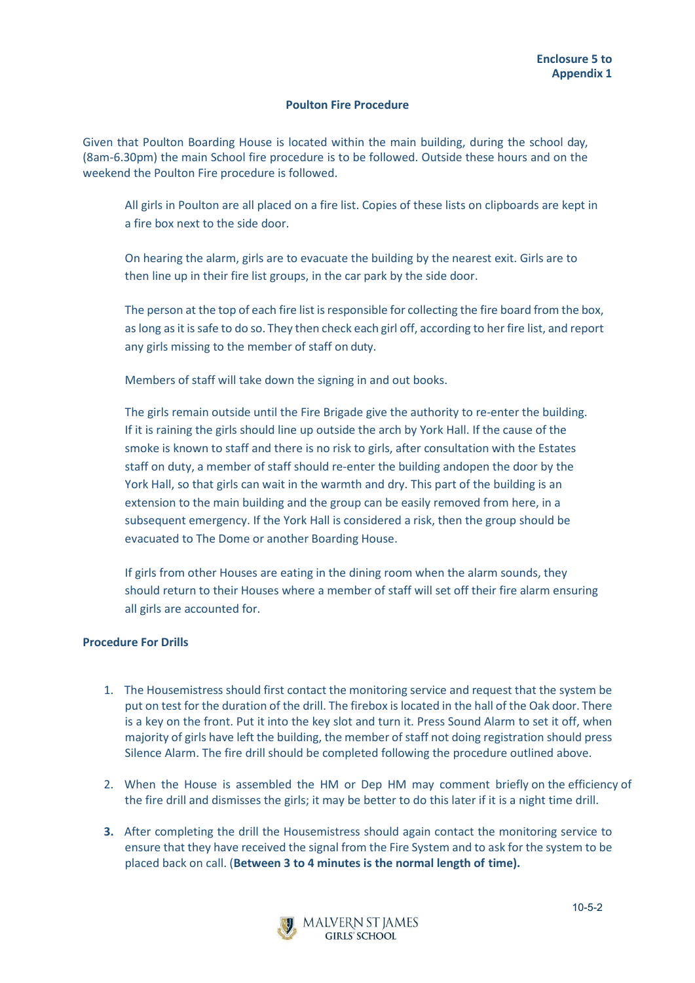### **Poulton Fire Procedure**

<span id="page-22-1"></span><span id="page-22-0"></span>Given that Poulton Boarding House is located within the main building, during the school day, (8am-6.30pm) the main School fire procedure is to be followed. Outside these hours and on the weekend the Poulton Fire procedure is followed.

All girls in Poulton are all placed on a fire list. Copies of these lists on clipboards are kept in a fire box next to the side door.

On hearing the alarm, girls are to evacuate the building by the nearest exit. Girls are to then line up in their fire list groups, in the car park by the side door.

The person at the top of each fire list is responsible for collecting the fire board from the box, as long as it is safe to do so. They then check each girl off, according to her fire list, and report any girls missing to the member of staff on duty.

Members of staff will take down the signing in and out books.

The girls remain outside until the Fire Brigade give the authority to re-enter the building. If it is raining the girls should line up outside the arch by York Hall. If the cause of the smoke is known to staff and there is no risk to girls, after consultation with the Estates staff on duty, a member of staff should re-enter the building andopen the door by the York Hall, so that girls can wait in the warmth and dry. This part of the building is an extension to the main building and the group can be easily removed from here, in a subsequent emergency. If the York Hall is considered a risk, then the group should be evacuated to The Dome or another Boarding House.

If girls from other Houses are eating in the dining room when the alarm sounds, they should return to their Houses where a member of staff will set off their fire alarm ensuring all girls are accounted for.

### **Procedure For Drills**

- 1. The Housemistress should first contact the monitoring service and request that the system be put on test for the duration of the drill. The firebox is located in the hall of the Oak door. There is a key on the front. Put it into the key slot and turn it. Press Sound Alarm to set it off, when majority of girls have left the building, the member of staff not doing registration should press Silence Alarm. The fire drill should be completed following the procedure outlined above.
- 2. When the House is assembled the HM or Dep HM may comment briefly on the efficiency of the fire drill and dismisses the girls; it may be better to do this later if it is a night time drill.
- **3.** After completing the drill the Housemistress should again contact the monitoring service to ensure that they have received the signal from the Fire System and to ask for the system to be placed back on call. (**Between 3 to 4 minutes is the normal length of time).**

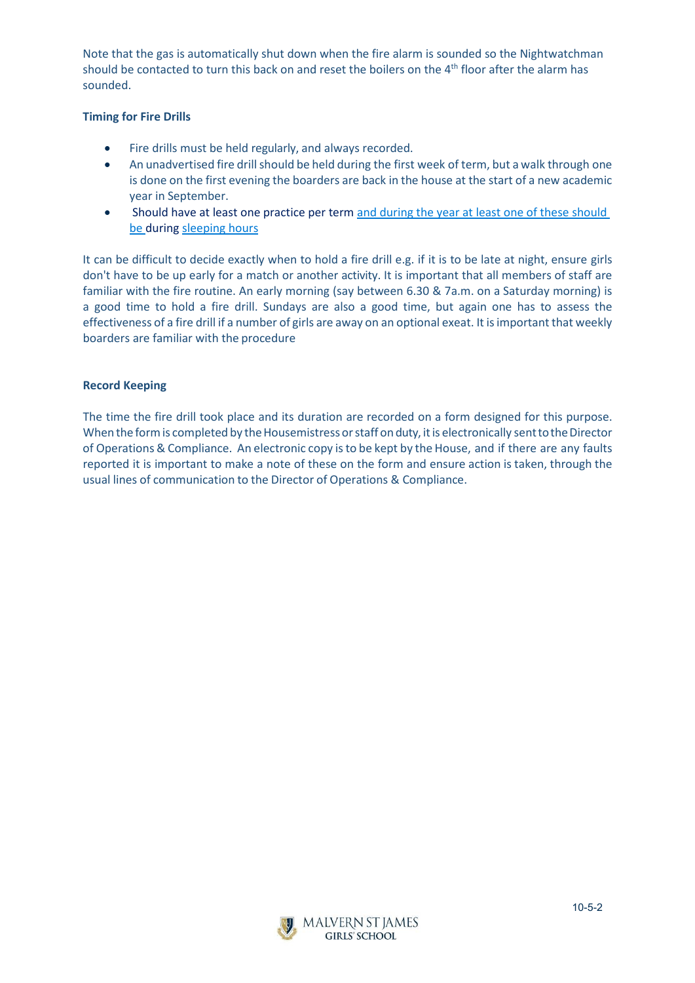Note that the gas is automatically shut down when the fire alarm is sounded so the Nightwatchman should be contacted to turn this back on and reset the boilers on the 4<sup>th</sup> floor after the alarm has sounded.

# **Timing for Fire Drills**

- Fire drills must be held regularly, and always recorded.
- An unadvertised fire drill should be held during the first week of term, but a walk through one is done on the first evening the boarders are back in the house at the start of a new academic year in September.
- Should have at least one practice per term and during the year at least one of these should be during sleeping hours

It can be difficult to decide exactly when to hold a fire drill e.g. if it is to be late at night, ensure girls don't have to be up early for a match or another activity. It is important that all members of staff are familiar with the fire routine. An early morning (say between 6.30 & 7a.m. on a Saturday morning) is a good time to hold a fire drill. Sundays are also a good time, but again one has to assess the effectiveness of a fire drill if a number of girls are away on an optional exeat. It is important that weekly boarders are familiar with the procedure

# **Record Keeping**

The time the fire drill took place and its duration are recorded on a form designed for this purpose. When the form is completed by the Housemistress or staff on duty, it is electronically sent to the Director of Operations & Compliance. An electronic copy isto be kept by the House, and if there are any faults reported it is important to make a note of these on the form and ensure action is taken, through the usual lines of communication to the Director of Operations & Compliance.

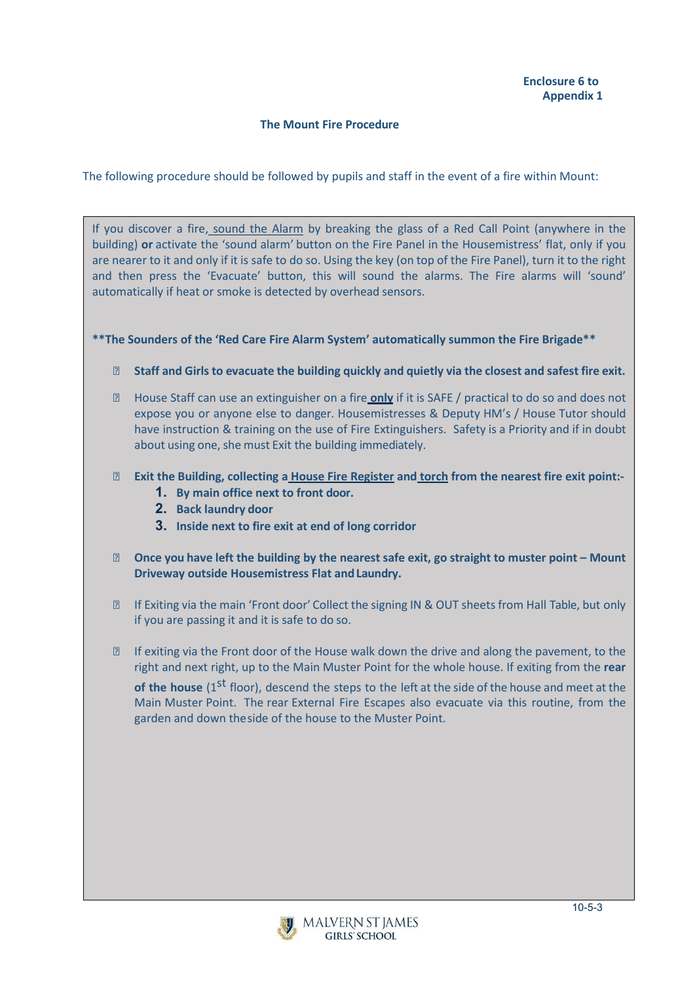### **The Mount Fire Procedure**

<span id="page-24-1"></span><span id="page-24-0"></span>The following procedure should be followed by pupils and staff in the event of a fire within Mount:

If you discover a fire, sound the Alarm by breaking the glass of a Red Call Point (anywhere in the building) **or** activate the 'sound alarm' button on the Fire Panel in the Housemistress' flat, only if you are nearer to it and only if it is safe to do so. Using the key (on top of the Fire Panel), turn it to the right and then press the 'Evacuate' button, this will sound the alarms. The Fire alarms will 'sound' automatically if heat or smoke is detected by overhead sensors.

**\*\*The Sounders of the 'Red Care Fire Alarm System' automatically summon the Fire Brigade\*\***

- **Staff and Girls to evacuate the building quickly and quietly via the closest and safest fire exit.**
- House Staff can use an extinguisher on a fire **only** if it is SAFE / practical to do so and does not expose you or anyone else to danger. Housemistresses & Deputy HM's / House Tutor should have instruction & training on the use of Fire Extinguishers. Safety is a Priority and if in doubt about using one, she must Exit the building immediately.
- **Exit the Building, collecting a House Fire Register and torch from the nearest fire exit point:-**
	- **1. By main office next to front door.**
	- **2. Back laundry door**
	- **3. Inside next to fire exit at end of long corridor**
- **Once you have left the building by the nearest safe exit, go straight to muster point – Mount Driveway outside Housemistress Flat andLaundry.**
- **If Exiting via the main 'Front door' Collect the signing IN & OUT sheets from Hall Table, but only** if you are passing it and it is safe to do so.
- $\mathbb D$  If exiting via the Front door of the House walk down the drive and along the pavement, to the right and next right, up to the Main Muster Point for the whole house. If exiting from the **rear of the house** (1<sup>st</sup> floor), descend the steps to the left at the side of the house and meet at the Main Muster Point. The rear External Fire Escapes also evacuate via this routine, from the garden and down theside of the house to the Muster Point.

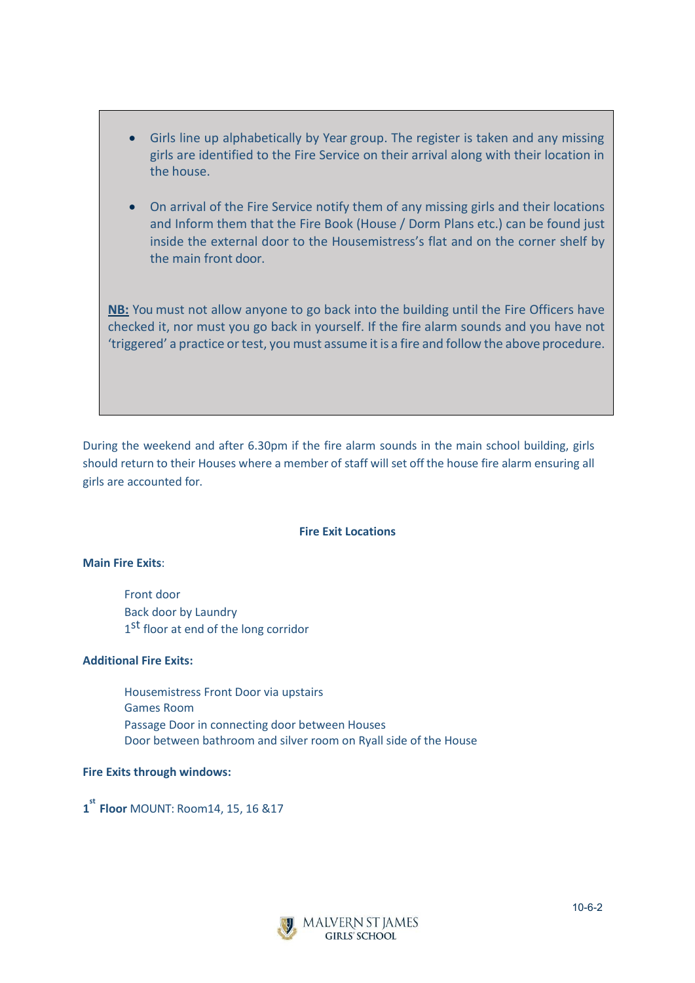- Girls line up alphabetically by Year group. The register is taken and any missing girls are identified to the Fire Service on their arrival along with their location in the house.
- On arrival of the Fire Service notify them of any missing girls and their locations and Inform them that the Fire Book (House / Dorm Plans etc.) can be found just inside the external door to the Housemistress's flat and on the corner shelf by the main front door.

**NB:** You must not allow anyone to go back into the building until the Fire Officers have checked it, nor must you go back in yourself. If the fire alarm sounds and you have not 'triggered' a practice or test, you must assume it is a fire and follow the above procedure.

During the weekend and after 6.30pm if the fire alarm sounds in the main school building, girls should return to their Houses where a member of staff will set off the house fire alarm ensuring all girls are accounted for.

### **Fire Exit Locations**

### **Main Fire Exits**:

Front door Back door by Laundry 1<sup>st</sup> floor at end of the long corridor

# **Additional Fire Exits:**

Housemistress Front Door via upstairs Games Room Passage Door in connecting door between Houses Door between bathroom and silver room on Ryall side of the House

## **Fire Exits through windows:**

**1 st Floor** MOUNT: Room14, 15, 16 &17

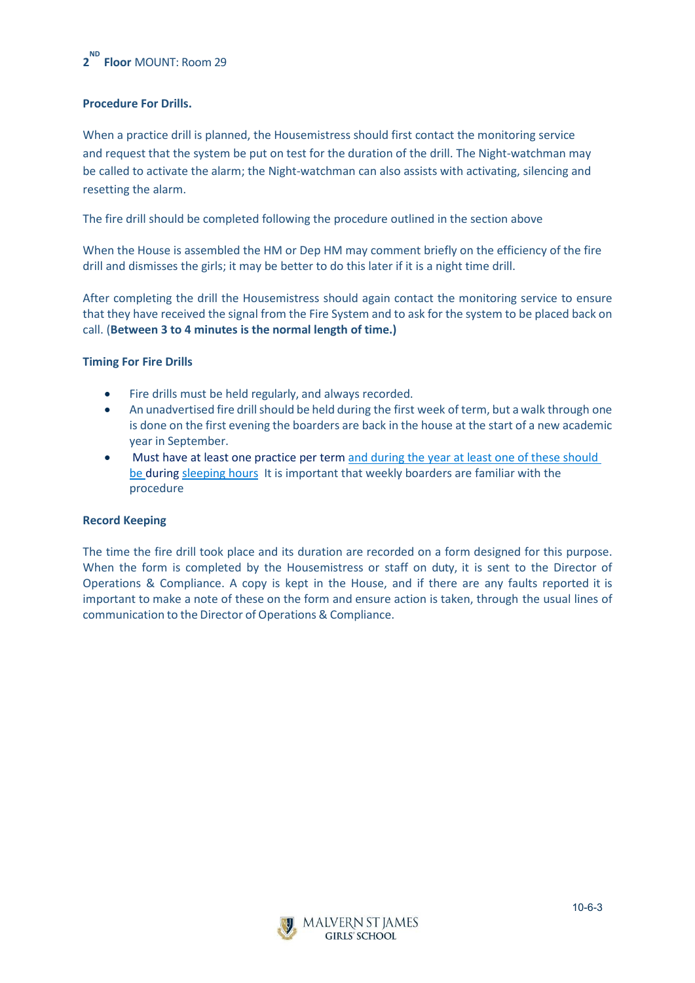

# **Procedure For Drills.**

When a practice drill is planned, the Housemistress should first contact the monitoring service and request that the system be put on test for the duration of the drill. The Night-watchman may be called to activate the alarm; the Night-watchman can also assists with activating, silencing and resetting the alarm.

The fire drill should be completed following the procedure outlined in the section above

When the House is assembled the HM or Dep HM may comment briefly on the efficiency of the fire drill and dismisses the girls; it may be better to do this later if it is a night time drill.

After completing the drill the Housemistress should again contact the monitoring service to ensure that they have received the signal from the Fire System and to ask for the system to be placed back on call. (**Between 3 to 4 minutes is the normal length of time.)**

# **Timing For Fire Drills**

- Fire drills must be held regularly, and always recorded.
- An unadvertised fire drill should be held during the first week of term, but a walk through one is done on the first evening the boarders are back in the house at the start of a new academic year in September.
- Must have at least one practice per term and during the year at least one of these should be during sleeping hours It is important that weekly boarders are familiar with the procedure

### **Record Keeping**

The time the fire drill took place and its duration are recorded on a form designed for this purpose. When the form is completed by the Housemistress or staff on duty, it is sent to the Director of Operations & Compliance. A copy is kept in the House, and if there are any faults reported it is important to make a note of these on the form and ensure action is taken, through the usual lines of communication to the Director of Operations & Compliance.

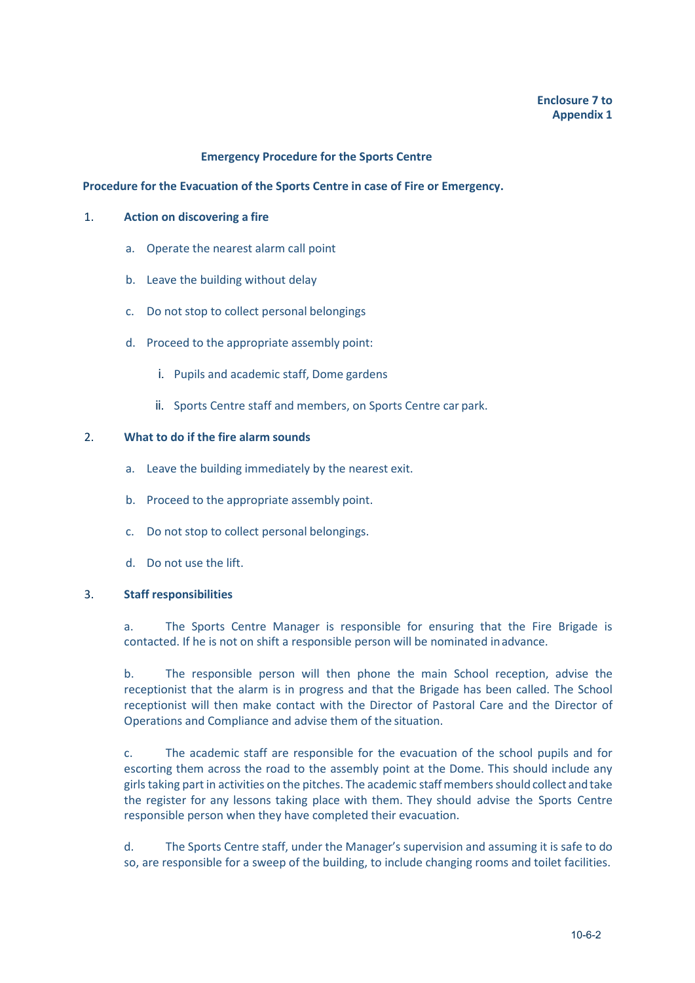### **Emergency Procedure for the Sports Centre**

#### <span id="page-27-1"></span><span id="page-27-0"></span>**Procedure for the Evacuation of the Sports Centre in case of Fire or Emergency.**

#### 1. **Action on discovering a fire**

- a. Operate the nearest alarm call point
- b. Leave the building without delay
- c. Do not stop to collect personal belongings
- d. Proceed to the appropriate assembly point:
	- i. Pupils and academic staff, Dome gardens
	- ii. Sports Centre staff and members, on Sports Centre car park.

#### 2. **What to do if the fire alarm sounds**

- a. Leave the building immediately by the nearest exit.
- b. Proceed to the appropriate assembly point.
- c. Do not stop to collect personal belongings.
- d. Do not use the lift.

### 3. **Staff responsibilities**

a. The Sports Centre Manager is responsible for ensuring that the Fire Brigade is contacted. If he is not on shift a responsible person will be nominated inadvance.

b. The responsible person will then phone the main School reception, advise the receptionist that the alarm is in progress and that the Brigade has been called. The School receptionist will then make contact with the Director of Pastoral Care and the Director of Operations and Compliance and advise them of the situation.

c. The academic staff are responsible for the evacuation of the school pupils and for escorting them across the road to the assembly point at the Dome. This should include any girls taking part in activities on the pitches. The academic staff members should collect andtake the register for any lessons taking place with them. They should advise the Sports Centre responsible person when they have completed their evacuation.

d. The Sports Centre staff, under the Manager's supervision and assuming it is safe to do so, are responsible for a sweep of the building, to include changing rooms and toilet facilities.